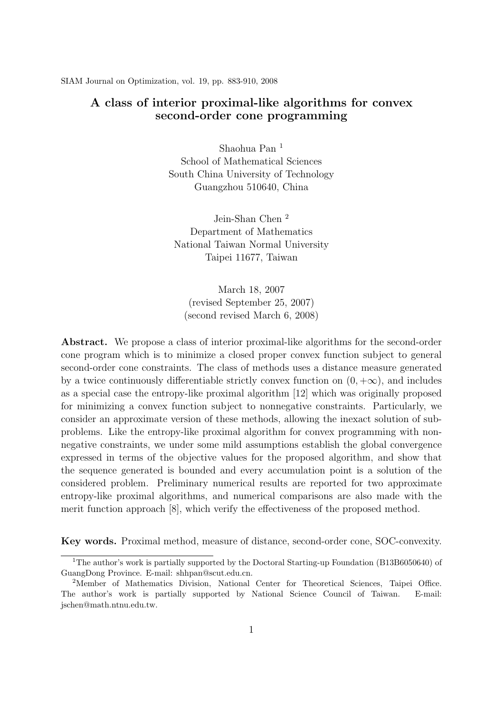SIAM Journal on Optimization, vol. 19, pp. 883-910, 2008

#### **A class of interior proximal-like algorithms for convex second-order cone programming**

Shaohua Pan <sup>1</sup> School of Mathematical Sciences South China University of Technology Guangzhou 510640, China

Jein-Shan Chen <sup>2</sup> Department of Mathematics National Taiwan Normal University Taipei 11677, Taiwan

March 18, 2007 (revised September 25, 2007) (second revised March 6, 2008)

**Abstract.** We propose a class of interior proximal-like algorithms for the second-order cone program which is to minimize a closed proper convex function subject to general second-order cone constraints. The class of methods uses a distance measure generated by a twice continuously differentiable strictly convex function on  $(0, +\infty)$ , and includes as a special case the entropy-like proximal algorithm [12] which was originally proposed for minimizing a convex function subject to nonnegative constraints. Particularly, we consider an approximate version of these methods, allowing the inexact solution of subproblems. Like the entropy-like proximal algorithm for convex programming with nonnegative constraints, we under some mild assumptions establish the global convergence expressed in terms of the objective values for the proposed algorithm, and show that the sequence generated is bounded and every accumulation point is a solution of the considered problem. Preliminary numerical results are reported for two approximate entropy-like proximal algorithms, and numerical comparisons are also made with the merit function approach [8], which verify the effectiveness of the proposed method.

**Key words.** Proximal method, measure of distance, second-order cone, SOC-convexity.

<sup>&</sup>lt;sup>1</sup>The author's work is partially supported by the Doctoral Starting-up Foundation (B13B6050640) of GuangDong Province. E-mail: shhpan@scut.edu.cn.

<sup>2</sup>Member of Mathematics Division, National Center for Theoretical Sciences, Taipei Office. The author's work is partially supported by National Science Council of Taiwan. E-mail: jschen@math.ntnu.edu.tw.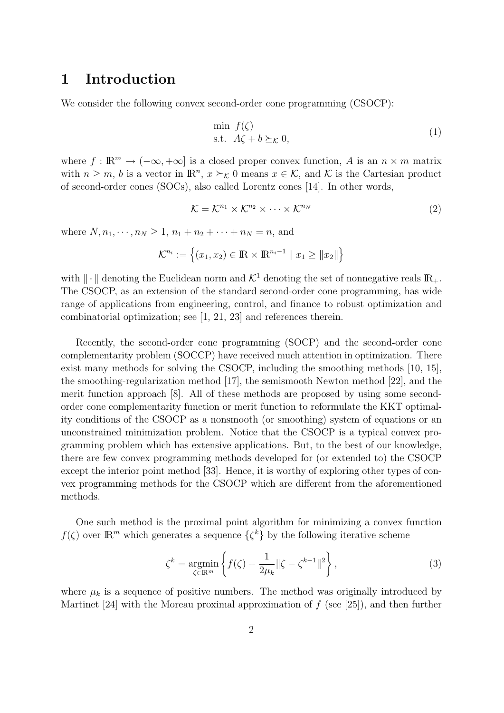### **1 Introduction**

We consider the following convex second-order cone programming (CSOCP):

$$
\min_{\mathbf{S}.\mathbf{t}} f(\zeta) \n\text{s.t.} \quad A\zeta + b \succeq_{\mathcal{K}} 0,
$$
\n
$$
(1)
$$

where  $f: \mathbb{R}^m \to (-\infty, +\infty]$  is a closed proper convex function, *A* is an  $n \times m$  matrix with  $n \geq m$ , *b* is a vector in  $\mathbb{R}^n$ ,  $x \succeq_{\mathcal{K}} 0$  means  $x \in \mathcal{K}$ , and  $\mathcal{K}$  is the Cartesian product of second-order cones (SOCs), also called Lorentz cones [14]. In other words,

$$
\mathcal{K} = \mathcal{K}^{n_1} \times \mathcal{K}^{n_2} \times \cdots \times \mathcal{K}^{n_N}
$$
\n<sup>(2)</sup>

where  $N, n_1, \dots, n_N \geq 1, n_1 + n_2 + \dots + n_N = n$ , and

$$
\mathcal{K}^{n_i} := \left\{ (x_1, x_2) \in \mathbb{R} \times \mathbb{R}^{n_i - 1} \mid x_1 \ge ||x_2|| \right\}
$$

with  $\|\cdot\|$  denoting the Euclidean norm and  $\mathcal{K}^1$  denoting the set of nonnegative reals  $\mathbb{R}_+$ . The CSOCP, as an extension of the standard second-order cone programming, has wide range of applications from engineering, control, and finance to robust optimization and combinatorial optimization; see [1, 21, 23] and references therein.

Recently, the second-order cone programming (SOCP) and the second-order cone complementarity problem (SOCCP) have received much attention in optimization. There exist many methods for solving the CSOCP, including the smoothing methods [10, 15], the smoothing-regularization method [17], the semismooth Newton method [22], and the merit function approach [8]. All of these methods are proposed by using some secondorder cone complementarity function or merit function to reformulate the KKT optimality conditions of the CSOCP as a nonsmooth (or smoothing) system of equations or an unconstrained minimization problem. Notice that the CSOCP is a typical convex programming problem which has extensive applications. But, to the best of our knowledge, there are few convex programming methods developed for (or extended to) the CSOCP except the interior point method [33]. Hence, it is worthy of exploring other types of convex programming methods for the CSOCP which are different from the aforementioned methods.

One such method is the proximal point algorithm for minimizing a convex function *f*( $\zeta$ ) over  $\mathbb{R}^m$  which generates a sequence  $\{\zeta^k\}$  by the following iterative scheme

$$
\zeta^k = \underset{\zeta \in \mathbb{R}^m}{\operatorname{argmin}} \left\{ f(\zeta) + \frac{1}{2\mu_k} \|\zeta - \zeta^{k-1}\|^2 \right\},\tag{3}
$$

where  $\mu_k$  is a sequence of positive numbers. The method was originally introduced by Martinet [24] with the Moreau proximal approximation of *f* (see [25]), and then further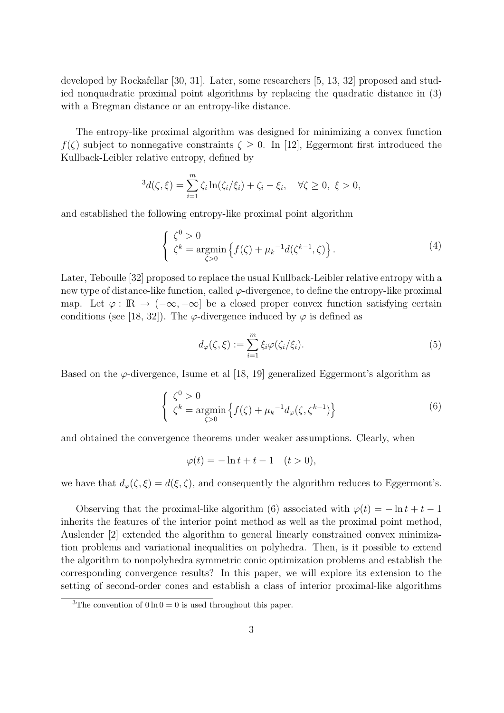developed by Rockafellar [30, 31]. Later, some researchers [5, 13, 32] proposed and studied nonquadratic proximal point algorithms by replacing the quadratic distance in (3) with a Bregman distance or an entropy-like distance.

The entropy-like proximal algorithm was designed for minimizing a convex function *f*( $\zeta$ ) subject to nonnegative constraints  $\zeta \geq 0$ . In [12], Eggermont first introduced the Kullback-Leibler relative entropy, defined by

$$
{}^{3}d(\zeta,\xi) = \sum_{i=1}^{m} \zeta_i \ln(\zeta_i/\xi_i) + \zeta_i - \xi_i, \quad \forall \zeta \ge 0, \ \xi > 0,
$$

and established the following entropy-like proximal point algorithm

$$
\begin{cases} \zeta^0 > 0\\ \zeta^k = \underset{\zeta > 0}{\operatorname{argmin}} \left\{ f(\zeta) + \mu_k^{-1} d(\zeta^{k-1}, \zeta) \right\}. \end{cases} \tag{4}
$$

Later, Teboulle [32] proposed to replace the usual Kullback-Leibler relative entropy with a new type of distance-like function, called  $\varphi$ -divergence, to define the entropy-like proximal map. Let  $\varphi : \mathbb{R} \to (-\infty, +\infty]$  be a closed proper convex function satisfying certain conditions (see [18, 32]). The  $\varphi$ -divergence induced by  $\varphi$  is defined as

$$
d_{\varphi}(\zeta,\xi) := \sum_{i=1}^{m} \xi_i \varphi(\zeta_i/\xi_i). \tag{5}
$$

Based on the  $\varphi$ -divergence, Isume et al [18, 19] generalized Eggermont's algorithm as

$$
\begin{cases} \zeta^0 > 0\\ \zeta^k = \operatorname*{argmin}_{\zeta > 0} \left\{ f(\zeta) + \mu_k^{-1} d_\varphi(\zeta, \zeta^{k-1}) \right\} \end{cases} \tag{6}
$$

and obtained the convergence theorems under weaker assumptions. Clearly, when

$$
\varphi(t) = -\ln t + t - 1 \quad (t > 0),
$$

we have that  $d_{\varphi}(\zeta, \xi) = d(\xi, \zeta)$ , and consequently the algorithm reduces to Eggermont's.

Observing that the proximal-like algorithm (6) associated with  $\varphi(t) = -\ln t + t - 1$ inherits the features of the interior point method as well as the proximal point method, Auslender [2] extended the algorithm to general linearly constrained convex minimization problems and variational inequalities on polyhedra. Then, is it possible to extend the algorithm to nonpolyhedra symmetric conic optimization problems and establish the corresponding convergence results? In this paper, we will explore its extension to the setting of second-order cones and establish a class of interior proximal-like algorithms

<sup>&</sup>lt;sup>3</sup>The convention of  $0 \ln 0 = 0$  is used throughout this paper.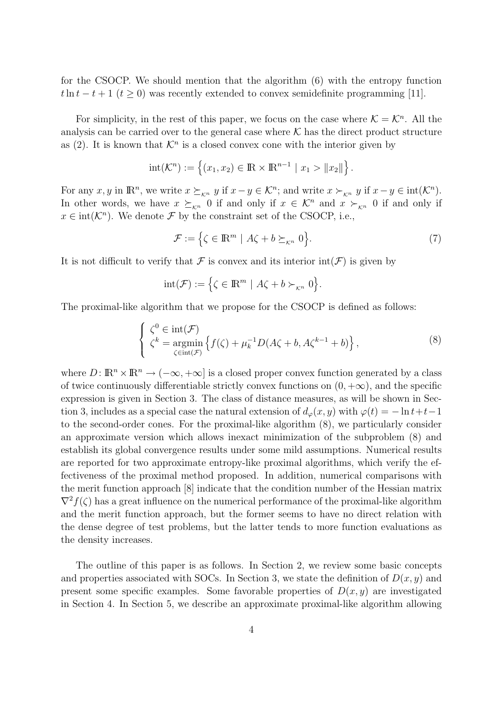for the CSOCP. We should mention that the algorithm (6) with the entropy function  $t \ln t - t + 1$  ( $t \ge 0$ ) was recently extended to convex semidefinite programming [11].

For simplicity, in the rest of this paper, we focus on the case where  $K = K<sup>n</sup>$ . All the analysis can be carried over to the general case where  $K$  has the direct product structure as (2). It is known that  $K<sup>n</sup>$  is a closed convex cone with the interior given by

$$
int(\mathcal{K}^n) := \{ (x_1, x_2) \in \mathbb{R} \times \mathbb{R}^{n-1} \mid x_1 > ||x_2|| \}.
$$

For any  $x, y$  in  $\mathbb{R}^n$ , we write  $x \succeq_{\mathcal{K}^n} y$  if  $x - y \in \mathcal{K}^n$ ; and write  $x \succ_{\mathcal{K}^n} y$  if  $x - y \in \text{int}(\mathcal{K}^n)$ . In other words, we have  $x \succeq_{K^n} 0$  if and only if  $x \in K^n$  and  $x \succeq_{K^n} 0$  if and only if  $x \in \text{int}(\mathcal{K}^n)$ . We denote *F* by the constraint set of the CSOCP, i.e.,

$$
\mathcal{F} := \left\{ \zeta \in \mathbb{R}^m \mid A\zeta + b \succeq_{\kappa^n} 0 \right\}.
$$
 (7)

It is not difficult to verify that  $\mathcal F$  is convex and its interior  $\text{int}(\mathcal F)$  is given by

$$
int(\mathcal{F}) := \Big\{ \zeta \in \mathbb{R}^m \mid A\zeta + b \succ_{\kappa^n} 0 \Big\}.
$$

The proximal-like algorithm that we propose for the CSOCP is defined as follows:

$$
\begin{cases}\n\zeta^0 \in \text{int}(\mathcal{F}) \\
\zeta^k = \operatorname*{argmin}_{\zeta \in \text{int}(\mathcal{F})} \left\{ f(\zeta) + \mu_k^{-1} D(A\zeta + b, A\zeta^{k-1} + b) \right\},\n\end{cases} \tag{8}
$$

where  $D: \mathbb{R}^n \times \mathbb{R}^n \to (-\infty, +\infty]$  is a closed proper convex function generated by a class of twice continuously differentiable strictly convex functions on  $(0, +\infty)$ , and the specific expression is given in Section 3. The class of distance measures, as will be shown in Section 3, includes as a special case the natural extension of  $d_{\varphi}(x, y)$  with  $\varphi(t) = -\ln t + t - 1$ to the second-order cones. For the proximal-like algorithm (8), we particularly consider an approximate version which allows inexact minimization of the subproblem (8) and establish its global convergence results under some mild assumptions. Numerical results are reported for two approximate entropy-like proximal algorithms, which verify the effectiveness of the proximal method proposed. In addition, numerical comparisons with the merit function approach [8] indicate that the condition number of the Hessian matrix  $\nabla^2 f(\zeta)$  has a great influence on the numerical performance of the proximal-like algorithm and the merit function approach, but the former seems to have no direct relation with the dense degree of test problems, but the latter tends to more function evaluations as the density increases.

The outline of this paper is as follows. In Section 2, we review some basic concepts and properties associated with SOCs. In Section 3, we state the definition of  $D(x, y)$  and present some specific examples. Some favorable properties of  $D(x, y)$  are investigated in Section 4. In Section 5, we describe an approximate proximal-like algorithm allowing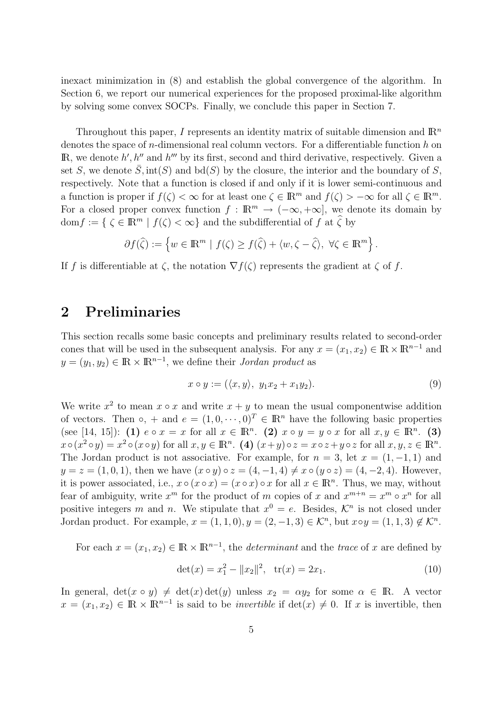inexact minimization in (8) and establish the global convergence of the algorithm. In Section 6, we report our numerical experiences for the proposed proximal-like algorithm by solving some convex SOCPs. Finally, we conclude this paper in Section 7.

Throughout this paper,  $I$  represents an identity matrix of suitable dimension and  $\mathbb{R}^n$ denotes the space of *n*-dimensional real column vectors. For a differentiable function *h* on  $\mathbb{R}$ , we denote  $h', h''$  and  $h'''$  by its first, second and third derivative, respectively. Given a set *S*, we denote  $\overline{S}$ ,  $\text{int}(S)$  and  $\text{bd}(S)$  by the closure, the interior and the boundary of *S*, respectively. Note that a function is closed if and only if it is lower semi-continuous and a function is proper if  $f(\zeta) < \infty$  for at least one  $\zeta \in \mathbb{R}^m$  and  $f(\zeta) > -\infty$  for all  $\zeta \in \mathbb{R}^m$ . For a closed proper convex function  $f : \mathbb{R}^m \to (-\infty, +\infty]$ , we denote its domain by  $dom f := \{ \zeta \in \mathbb{R}^m \mid f(\zeta) < \infty \}$  and the subdifferential of f at  $\widehat{\zeta}$  by

$$
\partial f(\widehat{\zeta}) := \left\{ w \in \mathbb{R}^m \mid f(\zeta) \ge f(\widehat{\zeta}) + \langle w, \zeta - \widehat{\zeta} \rangle, \ \forall \zeta \in \mathbb{R}^m \right\}.
$$

If *f* is differentiable at  $\zeta$ , the notation  $\nabla f(\zeta)$  represents the gradient at  $\zeta$  of *f*.

## **2 Preliminaries**

This section recalls some basic concepts and preliminary results related to second-order cones that will be used in the subsequent analysis. For any  $x = (x_1, x_2) \in \mathbb{R} \times \mathbb{R}^{n-1}$  and  $y = (y_1, y_2) \in \mathbb{R} \times \mathbb{R}^{n-1}$ , we define their *Jordan product* as

$$
x \circ y := (\langle x, y \rangle, y_1 x_2 + x_1 y_2). \tag{9}
$$

We write  $x^2$  to mean  $x \circ x$  and write  $x + y$  to mean the usual componentwise addition of vectors. Then  $\circ$ , + and  $e = (1, 0, \dots, 0)^T \in \mathbb{R}^n$  have the following basic properties  $(\text{see } [14, 15])$ : **(1)**  $e \circ x = x$  for all  $x \in \mathbb{R}^n$ . **(2)**  $x \circ y = y \circ x$  for all  $x, y \in \mathbb{R}^n$ . **(3)**  $x \circ (x^2 \circ y) = x^2 \circ (x \circ y)$  for all  $x, y \in \mathbb{R}^n$ . (4)  $(x+y) \circ z = x \circ z + y \circ z$  for all  $x, y, z \in \mathbb{R}^n$ . The Jordan product is not associative. For example, for  $n = 3$ , let  $x = (1, -1, 1)$  and  $y = z = (1,0,1)$ , then we have  $(x \circ y) \circ z = (4,-1,4) \neq x \circ (y \circ z) = (4,-2,4)$ . However, it is power associated, i.e.,  $x \circ (x \circ x) = (x \circ x) \circ x$  for all  $x \in \mathbb{R}^n$ . Thus, we may, without fear of ambiguity, write  $x^m$  for the product of *m* copies of *x* and  $x^{m+n} = x^m \circ x^n$  for all positive integers *m* and *n*. We stipulate that  $x^0 = e$ . Besides,  $\mathcal{K}^n$  is not closed under Jordan product. For example,  $x = (1, 1, 0), y = (2, -1, 3) \in \mathcal{K}^n$ , but  $x \circ y = (1, 1, 3) \notin \mathcal{K}^n$ .

For each  $x = (x_1, x_2) \in \mathbb{R} \times \mathbb{R}^{n-1}$ , the *determinant* and the *trace* of *x* are defined by

$$
\det(x) = x_1^2 - ||x_2||^2, \quad \text{tr}(x) = 2x_1. \tag{10}
$$

In general,  $det(x \circ y) \neq det(x) det(y)$  unless  $x_2 = \alpha y_2$  for some  $\alpha \in \mathbb{R}$ . A vector  $x = (x_1, x_2) \in \mathbb{R} \times \mathbb{R}^{n-1}$  is said to be *invertible* if  $\det(x) \neq 0$ . If *x* is invertible, then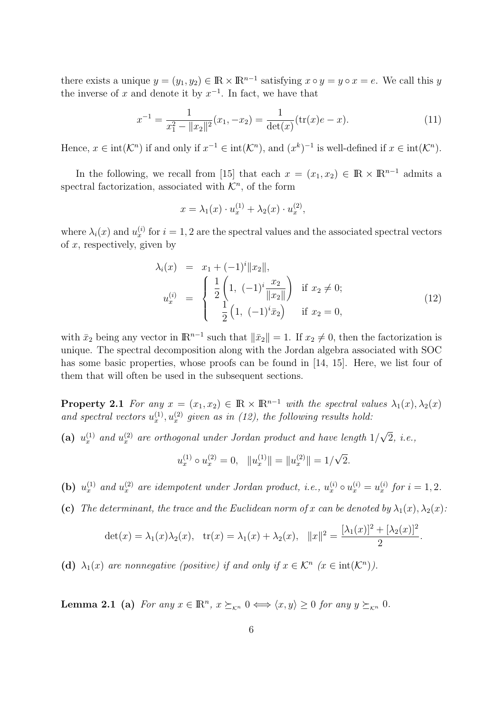there exists a unique  $y = (y_1, y_2) \in \mathbb{R} \times \mathbb{R}^{n-1}$  satisfying  $x \circ y = y \circ x = e$ . We call this *y* the inverse of  $x$  and denote it by  $x^{-1}$ . In fact, we have that

$$
x^{-1} = \frac{1}{x_1^2 - ||x_2||^2}(x_1, -x_2) = \frac{1}{\det(x)}(\text{tr}(x)e - x).
$$
 (11)

Hence,  $x \in \text{int}(\mathcal{K}^n)$  if and only if  $x^{-1} \in \text{int}(\mathcal{K}^n)$ , and  $(x^k)^{-1}$  is well-defined if  $x \in \text{int}(\mathcal{K}^n)$ .

In the following, we recall from [15] that each  $x = (x_1, x_2) \in \mathbb{R} \times \mathbb{R}^{n-1}$  admits a spectral factorization, associated with  $\mathcal{K}^n$ , of the form

$$
x = \lambda_1(x) \cdot u_x^{(1)} + \lambda_2(x) \cdot u_x^{(2)},
$$

where  $\lambda_i(x)$  and  $u_x^{(i)}$  for  $i = 1, 2$  are the spectral values and the associated spectral vectors of *x*, respectively, given by

$$
\lambda_i(x) = x_1 + (-1)^i \|x_2\|,
$$
  
\n
$$
u_x^{(i)} = \begin{cases} \frac{1}{2} \left( 1, \ (-1)^i \frac{x_2}{\|x_2\|} \right) & \text{if } x_2 \neq 0; \\ \frac{1}{2} \left( 1, \ (-1)^i \bar{x}_2 \right) & \text{if } x_2 = 0, \end{cases}
$$
\n(12)

with  $\bar{x}_2$  being any vector in  $\mathbb{R}^{n-1}$  such that  $\|\bar{x}_2\|=1$ . If  $x_2\neq 0$ , then the factorization is unique. The spectral decomposition along with the Jordan algebra associated with SOC has some basic properties, whose proofs can be found in [14, 15]. Here, we list four of them that will often be used in the subsequent sections.

**Property 2.1** *For any*  $x = (x_1, x_2) \in \mathbb{R} \times \mathbb{R}^{n-1}$  *with the spectral values*  $\lambda_1(x), \lambda_2(x)$ and spectral vectors  $u_x^{(1)}, u_x^{(2)}$  given as in (12), the following results hold:

(a)  $u_x^{(1)}$  and  $u_x^{(2)}$  are orthogonal under Jordan product and have length  $1/$ *√* 2*, i.e.,*

$$
u_x^{(1)} \circ u_x^{(2)} = 0, \quad ||u_x^{(1)}|| = ||u_x^{(2)}|| = 1/\sqrt{2}.
$$

(b)  $u_x^{(1)}$  and  $u_x^{(2)}$  are idempotent under Jordan product, i.e.,  $u_x^{(i)} \circ u_x^{(i)} = u_x^{(i)}$  for  $i = 1, 2$ .

**(c)** The determinant, the trace and the Euclidean norm of x can be denoted by  $\lambda_1(x), \lambda_2(x)$ :

$$
\det(x) = \lambda_1(x)\lambda_2(x), \quad \text{tr}(x) = \lambda_1(x) + \lambda_2(x), \quad ||x||^2 = \frac{[\lambda_1(x)]^2 + [\lambda_2(x)]^2}{2}.
$$

(d)  $\lambda_1(x)$  are nonnegative (positive) if and only if  $x \in \mathcal{K}^n$  ( $x \in \text{int}(\mathcal{K}^n)$ ).

**Lemma 2.1** (a) *For any*  $x \in \mathbb{R}^n$ ,  $x \succeq_{\mathcal{K}^n} 0 \Longleftrightarrow \langle x, y \rangle \ge 0$  *for any*  $y \succeq_{\mathcal{K}^n} 0$ *.*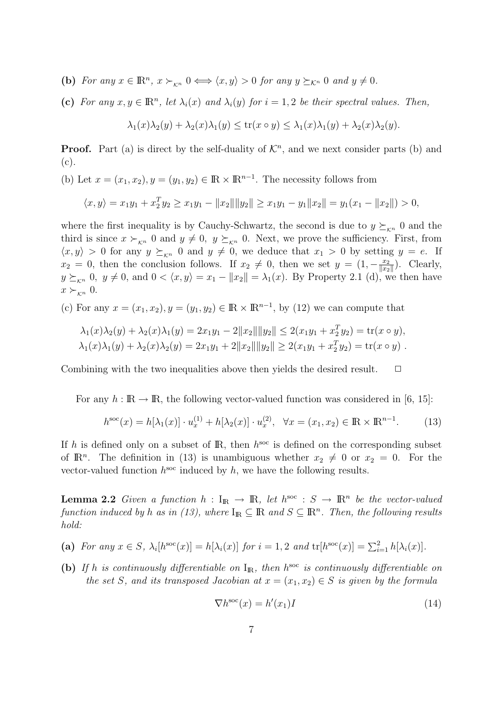(b) For any  $x \in \mathbb{R}^n$ ,  $x \succ_{\kappa^n} 0 \Longleftrightarrow \langle x, y \rangle > 0$  for any  $y \succeq_{\kappa^n} 0$  and  $y \neq 0$ .

(c) For any  $x, y \in \mathbb{R}^n$ , let  $\lambda_i(x)$  and  $\lambda_i(y)$  for  $i = 1, 2$  be their spectral values. Then,

$$
\lambda_1(x)\lambda_2(y) + \lambda_2(x)\lambda_1(y) \le \text{tr}(x \circ y) \le \lambda_1(x)\lambda_1(y) + \lambda_2(x)\lambda_2(y).
$$

**Proof.** Part (a) is direct by the self-duality of  $\mathcal{K}^n$ , and we next consider parts (b) and (c).

(b) Let  $x = (x_1, x_2), y = (y_1, y_2) \in \mathbb{R} \times \mathbb{R}^{n-1}$ . The necessity follows from

$$
\langle x, y \rangle = x_1 y_1 + x_2^T y_2 \ge x_1 y_1 - ||x_2|| ||y_2|| \ge x_1 y_1 - y_1 ||x_2|| = y_1 (x_1 - ||x_2||) > 0,
$$

where the first inequality is by Cauchy-Schwartz, the second is due to  $y \succeq_{\kappa^n} 0$  and the third is since  $x \succ_{\kappa^n} 0$  and  $y \neq 0$ ,  $y \succeq_{\kappa^n} 0$ . Next, we prove the sufficiency. First, from  $\langle x, y \rangle > 0$  for any  $y \succeq_{K^n} 0$  and  $y \neq 0$ , we deduce that  $x_1 > 0$  by setting  $y = e$ . If  $x_2 = 0$ , then the conclusion follows. If  $x_2 \neq 0$ , then we set  $y = (1, -\frac{x_2}{\|x_2\|})$  $\frac{x_2}{\|x_2\|}$ ). Clearly,  $y \succeq_{K^n} 0$ ,  $y \neq 0$ , and  $0 < \langle x, y \rangle = x_1 - ||x_2|| = \lambda_1(x)$ . By Property 2.1 (d), we then have  $x \succ_{\kappa^n} 0.$ 

(c) For any  $x = (x_1, x_2), y = (y_1, y_2) \in \mathbb{R} \times \mathbb{R}^{n-1}$ , by (12) we can compute that

$$
\lambda_1(x)\lambda_2(y) + \lambda_2(x)\lambda_1(y) = 2x_1y_1 - 2||x_2|| ||y_2|| \le 2(x_1y_1 + x_2^T y_2) = \text{tr}(x \circ y),
$$
  

$$
\lambda_1(x)\lambda_1(y) + \lambda_2(x)\lambda_2(y) = 2x_1y_1 + 2||x_2|| ||y_2|| \ge 2(x_1y_1 + x_2^T y_2) = \text{tr}(x \circ y).
$$

Combining with the two inequalities above then yields the desired result.  $\Box$ 

For any  $h : \mathbb{R} \to \mathbb{R}$ , the following vector-valued function was considered in [6, 15]:

$$
h^{\text{soc}}(x) = h[\lambda_1(x)] \cdot u_x^{(1)} + h[\lambda_2(x)] \cdot u_x^{(2)}, \quad \forall x = (x_1, x_2) \in \mathbb{R} \times \mathbb{R}^{n-1}.
$$
 (13)

If h is defined only on a subset of  $\mathbb{R}$ , then  $h^{\text{soc}}$  is defined on the corresponding subset of  $\mathbb{R}^n$ . The definition in (13) is unambiguous whether  $x_2 \neq 0$  or  $x_2 = 0$ . For the vector-valued function  $h^{\text{soc}}$  induced by  $h$ , we have the following results.

**Lemma 2.2** *Given a function*  $h: I_{\mathbb{R}} \to \mathbb{R}$ *, let*  $h^{soc}: S \to \mathbb{R}^n$  *be the vector-valued function induced by h as in* (13), where  $I_{\mathbb{R}} \subseteq \mathbb{R}$  *and*  $S \subseteq \mathbb{R}^n$ *. Then, the following results hold:*

- (a) For any  $x \in S$ ,  $\lambda_i[h^{\rm soc}(x)] = h[\lambda_i(x)]$  for  $i = 1, 2$  and  $tr[h^{\rm soc}(x)] = \sum_{i=1}^2 h[\lambda_i(x)]$ .
- (b) If *h* is continuously differentiable on  $I_{\text{IR}}$ , then  $h^{\text{soc}}$  is continuously differentiable on *the set S, and its transposed Jacobian at*  $x = (x_1, x_2) \in S$  *is given by the formula*

$$
\nabla h^{\rm soc}(x) = h'(x_1)I \tag{14}
$$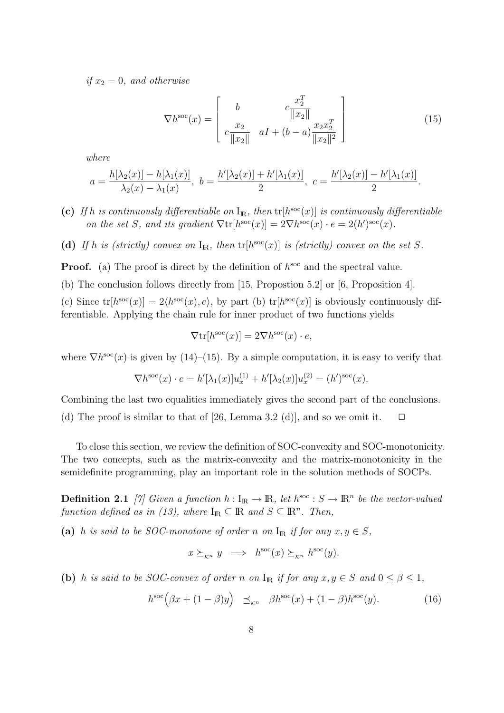*if*  $x_2 = 0$ *, and otherwise* 

$$
\nabla h^{\rm soc}(x) = \begin{bmatrix} b & c \frac{x_2^T}{\|x_2\|} \\ c \frac{x_2}{\|x_2\|} & aI + (b - a) \frac{x_2 x_2^T}{\|x_2\|^2} \end{bmatrix} \tag{15}
$$

*where*

$$
a = \frac{h[\lambda_2(x)] - h[\lambda_1(x)]}{\lambda_2(x) - \lambda_1(x)}, \ b = \frac{h'[\lambda_2(x)] + h'[\lambda_1(x)]}{2}, \ c = \frac{h'[\lambda_2(x)] - h'[\lambda_1(x)]}{2}.
$$

- (c) If *h* is continuously differentiable on  $I_{\mathbb{R}}$ , then  $tr[h^{\rm soc}(x)]$  is continuously differentiable *on the set S, and its gradient*  $\nabla \text{tr}[h^{\text{soc}}(x)] = 2\nabla h^{\text{soc}}(x) \cdot e = 2(h')^{\text{soc}}(x)$ .
- (d) If *h* is (strictly) convex on  $I_{\mathbb{R}}$ , then  $tr[h^{\text{soc}}(x)]$  is (strictly) convex on the set *S*.

**Proof.** (a) The proof is direct by the definition of  $h^{\text{soc}}$  and the spectral value.

(b) The conclusion follows directly from [15, Propostion 5.2] or [6, Proposition 4].

(c) Since  $tr[h^{soc}(x)] = 2\langle h^{soc}(x), e \rangle$ , by part (b)  $tr[h^{soc}(x)]$  is obviously continuously differentiable. Applying the chain rule for inner product of two functions yields

$$
\nabla \text{tr}[h^{\text{soc}}(x)] = 2\nabla h^{\text{soc}}(x) \cdot e,
$$

where  $\nabla h^{\rm soc}(x)$  is given by (14)–(15). By a simple computation, it is easy to verify that

$$
\nabla h^{\rm soc}(x) \cdot e = h'[\lambda_1(x)]u_x^{(1)} + h'[\lambda_2(x)]u_x^{(2)} = (h')^{\rm soc}(x).
$$

Combining the last two equalities immediately gives the second part of the conclusions. (d) The proof is similar to that of [26, Lemma 3.2 (d)], and so we omit it.  $\Box$ 

To close this section, we review the definition of SOC-convexity and SOC-monotonicity. The two concepts, such as the matrix-convexity and the matrix-monotonicity in the semidefinite programming, play an important role in the solution methods of SOCPs.

**Definition 2.1** *[7]* Given a function  $h: I_{\mathbb{R}} \to \mathbb{R}$ , let  $h^{\text{soc}}: S \to \mathbb{R}^n$  be the vector-valued *function defined as in (13), where*  $I_{\mathbb{R}} \subseteq \mathbb{R}$  *and*  $S \subseteq \mathbb{R}^n$ *. Then,* 

(a) *h is said to be SOC-monotone of order n on*  $I_{\mathbb{R}}$  *if for any*  $x, y \in S$ *,* 

$$
x \succeq_{\mathcal{K}^n} y \implies h^{\text{soc}}(x) \succeq_{\mathcal{K}^n} h^{\text{soc}}(y).
$$

**(b)** *h is said to be SOC-convex of order n on*  $I_{\mathbb{R}}$  *if for any*  $x, y \in S$  *and*  $0 \le \beta \le 1$ *,* 

$$
h^{\rm soc}(\beta x + (1 - \beta)y) \preceq_{\mathcal{K}^n} \beta h^{\rm soc}(x) + (1 - \beta)h^{\rm soc}(y). \tag{16}
$$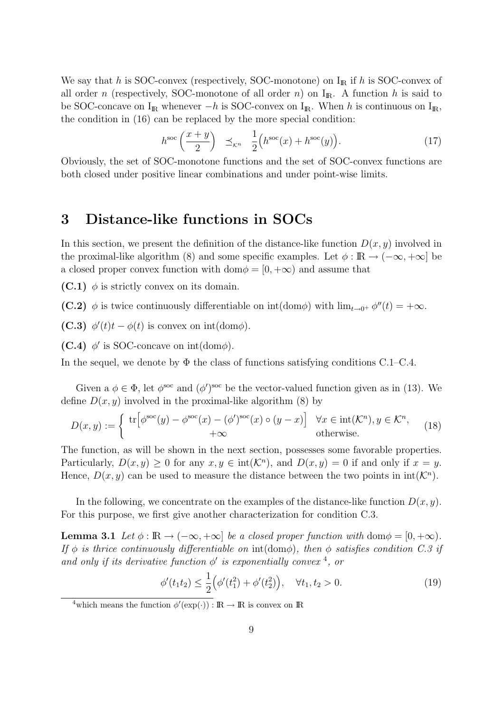We say that *h* is SOC-convex (respectively, SOC-monotone) on  $I_{\rm I\!R}$  if *h* is SOC-convex of all order *n* (respectively, SOC-monotone of all order *n*) on  $I<sub>R</sub>$ . A function *h* is said to be SOC-concave on I<sub>R</sub> whenever *−h* is SOC-convex on I<sub>R</sub>. When *h* is continuous on I<sub>R</sub>, the condition in (16) can be replaced by the more special condition:

$$
h^{\rm soc}\left(\frac{x+y}{2}\right) \preceq_{\mathcal{K}^n} \frac{1}{2}\left(h^{\rm soc}(x) + h^{\rm soc}(y)\right). \tag{17}
$$

Obviously, the set of SOC-monotone functions and the set of SOC-convex functions are both closed under positive linear combinations and under point-wise limits.

# **3 Distance-like functions in SOCs**

In this section, we present the definition of the distance-like function  $D(x, y)$  involved in the proximal-like algorithm (8) and some specific examples. Let  $\phi : \mathbb{R} \to (-\infty, +\infty]$  be a closed proper convex function with dom $\phi = [0, +\infty)$  and assume that

**(C.1)**  $\phi$  is strictly convex on its domain.

**(C.2)**  $\phi$  is twice continuously differentiable on  $\text{int}(\text{dom}\phi)$  with  $\lim_{t\to 0^+} \phi''(t) = +\infty$ .

**(C.3)**  $\phi'(t)t - \phi(t)$  is convex on int(dom $\phi$ ).

**(C.4)**  $\phi'$  is SOC-concave on int(dom $\phi$ ).

In the sequel, we denote by  $\Phi$  the class of functions satisfying conditions C.1–C.4.

Given a  $\phi \in \Phi$ , let  $\phi^{\text{soc}}$  and  $(\phi')^{\text{soc}}$  be the vector-valued function given as in (13). We define  $D(x, y)$  involved in the proximal-like algorithm (8) by

$$
D(x,y) := \begin{cases} \operatorname{tr} \left[ \phi^{\mathrm{soc}}(y) - \phi^{\mathrm{soc}}(x) - (\phi')^{\mathrm{soc}}(x) \circ (y-x) \right] & \forall x \in \mathrm{int}(\mathcal{K}^n), y \in \mathcal{K}^n, \\ +\infty & \text{otherwise.} \end{cases} \tag{18}
$$

The function, as will be shown in the next section, possesses some favorable properties. Particularly,  $D(x, y) \ge 0$  for any  $x, y \in \text{int}(\mathcal{K}^n)$ , and  $D(x, y) = 0$  if and only if  $x = y$ . Hence,  $D(x, y)$  can be used to measure the distance between the two points in  $int(\mathcal{K}^n)$ .

In the following, we concentrate on the examples of the distance-like function  $D(x, y)$ . For this purpose, we first give another characterization for condition C.3.

**Lemma 3.1** *Let*  $\phi : \mathbb{R} \to (-\infty, +\infty]$  *be a closed proper function with* dom $\phi = [0, +\infty)$ *. If*  $\phi$  *is thrice continuously differentiable on* int(dom $\phi$ ), then  $\phi$  *satisfies condition C.3 if and only if its derivative function*  $\phi'$  *is exponentially convex* <sup>4</sup>, *or* 

$$
\phi'(t_1 t_2) \leq \frac{1}{2} \Big( \phi'(t_1^2) + \phi'(t_2^2) \Big), \quad \forall t_1, t_2 > 0. \tag{19}
$$

<sup>&</sup>lt;sup>4</sup>which means the function  $\phi'(\exp(\cdot)) : \mathbb{R} \to \mathbb{R}$  is convex on  $\mathbb{R}$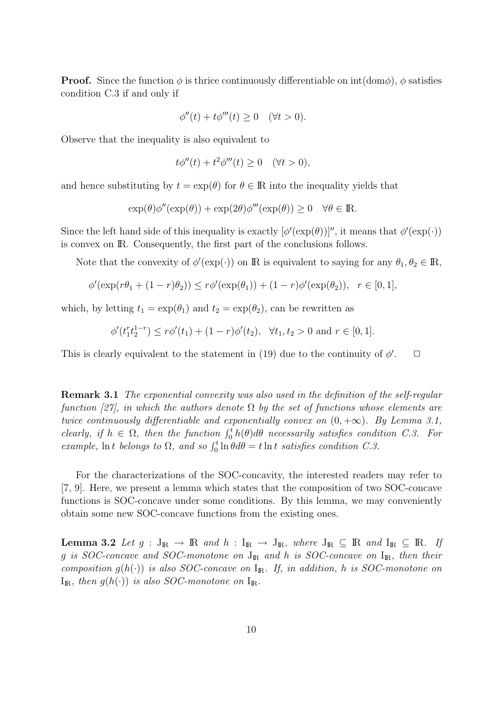**Proof.** Since the function  $\phi$  is thrice continuously differentiable on  $int(\text{dom}\phi)$ ,  $\phi$  satisfies condition C.3 if and only if

$$
\phi''(t) + t\phi'''(t) \ge 0 \quad (\forall t > 0).
$$

Observe that the inequality is also equivalent to

$$
t\phi''(t) + t^2\phi'''(t) \ge 0 \quad (\forall t > 0),
$$

and hence substituting by  $t = \exp(\theta)$  for  $\theta \in \mathbb{R}$  into the inequality yields that

$$
\exp(\theta)\phi''(\exp(\theta)) + \exp(2\theta)\phi'''(\exp(\theta)) \ge 0 \quad \forall \theta \in \mathbb{R}.
$$

Since the left hand side of this inequality is exactly  $[\phi'(\exp(\theta))]$ , it means that  $\phi'(\exp(\cdot))$ is convex on IR. Consequently, the first part of the conclusions follows.

Note that the convexity of  $\phi'(\exp(\cdot))$  on R is equivalent to saying for any  $\theta_1, \theta_2 \in \mathbb{R}$ ,

$$
\phi'(\exp(r\theta_1 + (1 - r)\theta_2)) \le r\phi'(\exp(\theta_1)) + (1 - r)\phi'(\exp(\theta_2)), \quad r \in [0, 1],
$$

which, by letting  $t_1 = \exp(\theta_1)$  and  $t_2 = \exp(\theta_2)$ , can be rewritten as

$$
\phi'(t_1^r t_2^{1-r}) \le r\phi'(t_1) + (1-r)\phi'(t_2), \quad \forall t_1, t_2 > 0 \text{ and } r \in [0,1].
$$

This is clearly equivalent to the statement in (19) due to the continuity of  $\phi'$  $\Box$ 

**Remark 3.1** *The exponential convexity was also used in the definition of the self-regular function [27], in which the authors denote* Ω *by the set of functions whose elements are twice continuously differentiable and exponentially convex on*  $(0, +\infty)$ *. By Lemma 3.1, clearly, if*  $h \in \Omega$ *, then the function*  $\int_0^t h(\theta) d\theta$  *necessarily satisfies condition* C.3. For *example,* ln *t belongs* to  $\Omega$ *,* and so  $\int_0^t \ln \theta d\theta = t \ln t$  satisfies condition C.3.

For the characterizations of the SOC-concavity, the interested readers may refer to [7, 9]. Here, we present a lemma which states that the composition of two SOC-concave functions is SOC-concave under some conditions. By this lemma, we may conveniently obtain some new SOC-concave functions from the existing ones.

**Lemma 3.2** *Let*  $g: J_{\mathbb{R}} \to \mathbb{R}$  *and*  $h: I_{\mathbb{R}} \to J_{\mathbb{R}}$ *, where*  $J_{\mathbb{R}} \subseteq \mathbb{R}$  *and*  $I_{\mathbb{R}} \subseteq \mathbb{R}$ *. If g is SOC-concave and SOC-monotone on* JIR *and h is SOC-concave on* IIR*, then their composition*  $g(h(\cdot))$  *is also SOC-concave on*  $I_R$ *. If, in addition, h is SOC-monotone on*  $I_{\mathbb{R}}$ *, then*  $g(h(\cdot))$  *is also SOC-monotone on*  $I_{\mathbb{R}}$ *.*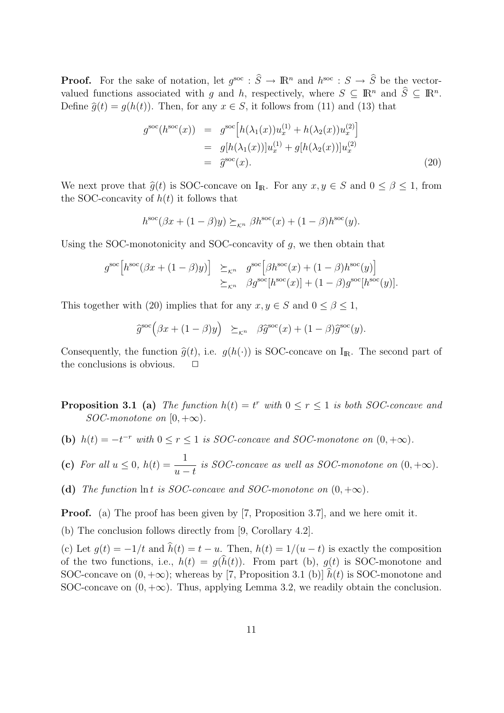**Proof.** For the sake of notation, let  $g^{\text{soc}}$  :  $\widehat{S} \to \mathbb{R}^n$  and  $h^{\text{soc}}$  :  $S \to \widehat{S}$  be the vectorvalued functions associated with *g* and *h*, respectively, where  $S \subseteq \mathbb{R}^n$  and  $\hat{S} \subseteq \mathbb{R}^n$ . Define  $\hat{g}(t) = g(h(t))$ . Then, for any  $x \in S$ , it follows from (11) and (13) that

$$
g^{\text{soc}}(h^{\text{soc}}(x)) = g^{\text{soc}}[h(\lambda_1(x))u_x^{(1)} + h(\lambda_2(x))u_x^{(2)}]
$$
  
=  $g[h(\lambda_1(x))]u_x^{(1)} + g[h(\lambda_2(x))]u_x^{(2)}$   
=  $\hat{g}^{\text{soc}}(x).$  (20)

We next prove that  $\hat{g}(t)$  is SOC-concave on I<sub>R</sub>. For any  $x, y \in S$  and  $0 \le \beta \le 1$ , from the SOC-concavity of  $h(t)$  it follows that

$$
h^{\rm soc}(\beta x + (1 - \beta)y) \succeq_{\kappa^n} \beta h^{\rm soc}(x) + (1 - \beta)h^{\rm soc}(y).
$$

Using the SOC-monotonicity and SOC-concavity of *g*, we then obtain that

$$
g^{\rm soc}[h^{\rm soc}(\beta x + (1 - \beta)y)] \geq_{\mathcal{K}^n} g^{\rm soc}[\beta h^{\rm soc}(x) + (1 - \beta)h^{\rm soc}(y)]
$$
  

$$
\geq_{\mathcal{K}^n} \beta g^{\rm soc}[h^{\rm soc}(x)] + (1 - \beta)g^{\rm soc}[h^{\rm soc}(y)].
$$

This together with (20) implies that for any  $x, y \in S$  and  $0 \le \beta \le 1$ ,

$$
\widehat{g}^{\rm soc}(\beta x + (1 - \beta)y) \succeq_{\kappa^n} \beta \widehat{g}^{\rm soc}(x) + (1 - \beta)\widehat{g}^{\rm soc}(y).
$$

Consequently, the function  $\hat{g}(t)$ , i.e.  $g(h(\cdot))$  is SOC-concave on I<sub>R</sub>. The second part of the conclusions is obvious. the conclusions is obvious.

**Proposition 3.1** (a) *The function*  $h(t) = t^r$  *with*  $0 \le r \le 1$  *is both SOC-concave and SOC-monotone on*  $[0, +\infty)$ *.* 

- **(b)**  $h(t) = -t^{-r}$  with  $0 \le r \le 1$  is SOC-concave and SOC-monotone on  $(0, +\infty)$ .
- (c) *For all*  $u \leq 0$ *,*  $h(t) = -\frac{1}{t}$ *u − t is SOC-concave as well as SOC-monotone on*  $(0, +\infty)$ *.*
- (d) *The function*  $\ln t$  *is SOC-concave and SOC-monotone on*  $(0, +\infty)$ *.*

**Proof.** (a) The proof has been given by [7, Proposition 3.7], and we here omit it.

(b) The conclusion follows directly from [9, Corollary 4.2].

(c) Let  $g(t) = -1/t$  and  $h(t) = t - u$ . Then,  $h(t) = 1/(u - t)$  is exactly the composition of the two functions, i.e.,  $h(t) = g(h(t))$ . From part (b),  $g(t)$  is SOC-monotone and SOC-concave on  $(0, +\infty)$ ; whereas by [7, Proposition 3.1 (b)]  $\hat{h}(t)$  is SOC-monotone and SOC-concave on  $(0, +\infty)$ . Thus, applying Lemma 3.2, we readily obtain the conclusion.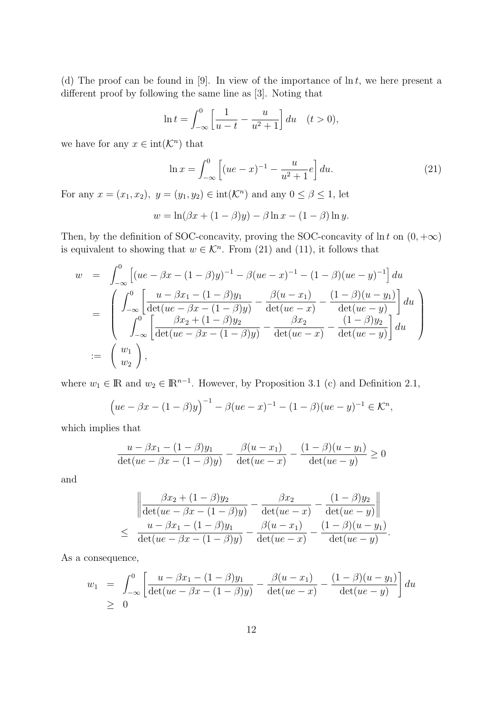(d) The proof can be found in [9]. In view of the importance of ln *t*, we here present a different proof by following the same line as [3]. Noting that

$$
\ln t = \int_{-\infty}^{0} \left[ \frac{1}{u - t} - \frac{u}{u^2 + 1} \right] du \quad (t > 0),
$$

we have for any  $x \in \text{int}(\mathcal{K}^n)$  that

$$
\ln x = \int_{-\infty}^{0} \left[ (ue - x)^{-1} - \frac{u}{u^2 + 1} e \right] du.
$$
 (21)

For any  $x = (x_1, x_2), y = (y_1, y_2) \in \text{int}(\mathcal{K}^n)$  and any  $0 \le \beta \le 1$ , let

$$
w = \ln(\beta x + (1 - \beta)y) - \beta \ln x - (1 - \beta) \ln y.
$$

Then, by the definition of SOC-concavity, proving the SOC-concavity of ln *t* on  $(0, +\infty)$ is equivalent to showing that  $w \in \mathcal{K}^n$ . From (21) and (11), it follows that

$$
w = \int_{-\infty}^{0} \left[ (ue - \beta x - (1 - \beta)y)^{-1} - \beta (ue - x)^{-1} - (1 - \beta)(ue - y)^{-1} \right] du
$$
  
\n
$$
= \begin{pmatrix} \int_{-\infty}^{0} \left[ \frac{u - \beta x_1 - (1 - \beta)y_1}{\det(ue - \beta x - (1 - \beta)y)} - \frac{\beta(u - x_1)}{\det(ue - x)} - \frac{(1 - \beta)(u - y_1)}{\det(ue - y)} \right] du \\ \int_{-\infty}^{0} \left[ \frac{\beta x_2 + (1 - \beta)y_2}{\det(ue - \beta x - (1 - \beta)y)} - \frac{\beta x_2}{\det(ue - x)} - \frac{(1 - \beta)y_2}{\det(ue - y)} \right] du \\ := \begin{pmatrix} w_1 \\ w_2 \end{pmatrix},
$$

where  $w_1 \in \mathbb{R}$  and  $w_2 \in \mathbb{R}^{n-1}$ . However, by Proposition 3.1 (c) and Definition 2.1,

$$
(ue - \beta x - (1 - \beta)y)^{-1} - \beta (ue - x)^{-1} - (1 - \beta)(ue - y)^{-1} \in \mathcal{K}^n,
$$

which implies that

$$
\frac{u - \beta x_1 - (1 - \beta)y_1}{\det(ue - \beta x - (1 - \beta)y)} - \frac{\beta(u - x_1)}{\det(ue - x)} - \frac{(1 - \beta)(u - y_1)}{\det(ue - y)} \ge 0
$$

and

$$
\left\| \frac{\beta x_2 + (1 - \beta)y_2}{\det(ue - \beta x - (1 - \beta)y)} - \frac{\beta x_2}{\det(ue - x)} - \frac{(1 - \beta)y_2}{\det(ue - y)} \right\|
$$
  

$$
\leq \frac{u - \beta x_1 - (1 - \beta)y_1}{\det(ue - \beta x - (1 - \beta)y)} - \frac{\beta(u - x_1)}{\det(ue - x)} - \frac{(1 - \beta)(u - y_1)}{\det(ue - y)}.
$$

As a consequence,

$$
w_1 = \int_{-\infty}^{0} \left[ \frac{u - \beta x_1 - (1 - \beta)y_1}{\det(ue - \beta x - (1 - \beta)y)} - \frac{\beta(u - x_1)}{\det(ue - x)} - \frac{(1 - \beta)(u - y_1)}{\det(ue - y)} \right] du
$$
  
\n
$$
\geq 0
$$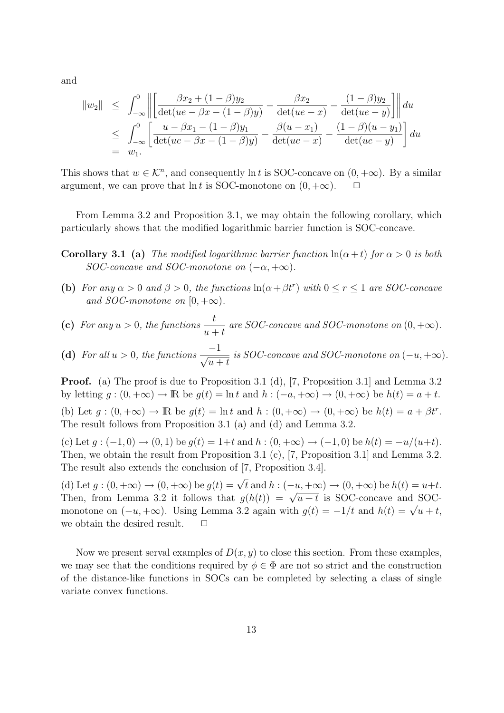and

$$
||w_2|| \leq \int_{-\infty}^0 \left\| \left[ \frac{\beta x_2 + (1 - \beta)y_2}{\det(ue - \beta x - (1 - \beta)y)} - \frac{\beta x_2}{\det(ue - x)} - \frac{(1 - \beta)y_2}{\det(ue - y)} \right] \right\| du
$$
  
\n
$$
\leq \int_{-\infty}^0 \left[ \frac{u - \beta x_1 - (1 - \beta)y_1}{\det(ue - \beta x - (1 - \beta)y)} - \frac{\beta(u - x_1)}{\det(ue - x)} - \frac{(1 - \beta)(u - y_1)}{\det(ue - y)} \right] du
$$
  
\n=  $w_1$ .

This shows that  $w \in \mathcal{K}^n$ , and consequently ln *t* is SOC-concave on  $(0, +\infty)$ . By a similar argument, we can prove that  $\ln t$  is SOC-monotone on  $(0, +\infty)$ .  $\Box$ 

From Lemma 3.2 and Proposition 3.1, we may obtain the following corollary, which particularly shows that the modified logarithmic barrier function is SOC-concave.

**Corollary 3.1 (a)** *The modified logarithmic barrier function*  $\ln(\alpha + t)$  *for*  $\alpha > 0$  *is both SOC-concave and SOC-monotone on*  $(-\alpha, +\infty)$ *.* 

**(b)** For any  $\alpha > 0$  and  $\beta > 0$ , the functions  $\ln(\alpha + \beta t^r)$  with  $0 \le r \le 1$  are SOC-concave *and SOC-monotone on*  $[0, +\infty)$ *.* 

(c) For any 
$$
u > 0
$$
, the functions  $\frac{t}{u+t}$  are SOC-concave and SOC-monotone on  $(0, +\infty)$ .

(d) *For all*  $u > 0$ *, the functions*  $\frac{-1}{\sqrt{-1}}$  $u + t$ *is SOC-concave and SOC-monotone on*  $(-u, +∞)$ *.* 

**Proof.** (a) The proof is due to Proposition 3.1 (d), [7, Proposition 3.1] and Lemma 3.2 by letting  $g : (0, +\infty) \to \mathbb{R}$  be  $g(t) = \ln t$  and  $h : (-a, +\infty) \to (0, +\infty)$  be  $h(t) = a + t$ .

(b) Let  $g:(0, +\infty) \to \mathbb{R}$  be  $g(t) = \ln t$  and  $h:(0, +\infty) \to (0, +\infty)$  be  $h(t) = a + \beta t^r$ . The result follows from Proposition 3.1 (a) and (d) and Lemma 3.2.

(c) Let  $g: (-1,0) \to (0,1)$  be  $g(t) = 1+t$  and  $h: (0,+\infty) \to (-1,0)$  be  $h(t) = -u/(u+t)$ . Then, we obtain the result from Proposition 3.1 (c), [7, Proposition 3.1] and Lemma 3.2. The result also extends the conclusion of [7, Proposition 3.4].

(d) Let  $g:(0,+\infty) \to (0,+\infty)$  be  $g(t) = \sqrt{t}$  and  $h:(-u,+\infty) \to (0,+\infty)$  be  $h(t) = u+t$ . Then, from Lemma 3.2 it follows that  $g(h(t)) = \sqrt{u+t}$  is SOC-concave and SOCmonotone on  $(-u, +\infty)$ . Using Lemma 3.2 again with  $g(t) = -1/t$  and  $h(t) = \sqrt{u+t}$ , we obtain the desired result.  $\Box$ 

Now we present serval examples of  $D(x, y)$  to close this section. From these examples, we may see that the conditions required by  $\phi \in \Phi$  are not so strict and the construction of the distance-like functions in SOCs can be completed by selecting a class of single variate convex functions.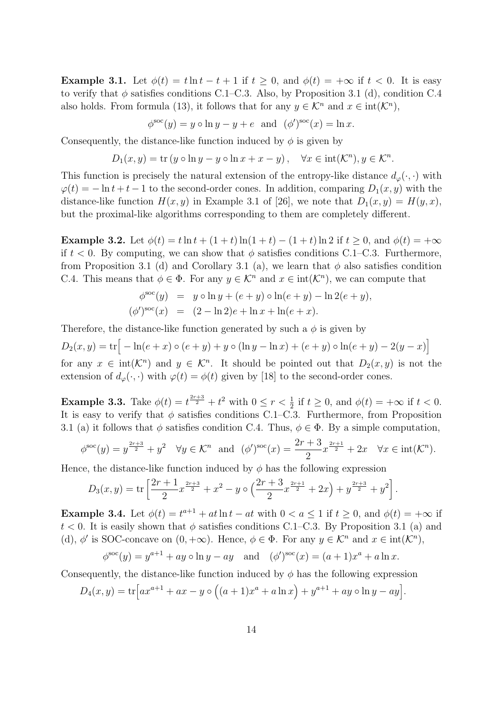**Example 3.1.** Let  $\phi(t) = t \ln t - t + 1$  if  $t \geq 0$ , and  $\phi(t) = +\infty$  if  $t < 0$ . It is easy to verify that  $\phi$  satisfies conditions C.1–C.3. Also, by Proposition 3.1 (d), condition C.4 also holds. From formula (13), it follows that for any  $y \in \mathcal{K}^n$  and  $x \in \text{int}(\mathcal{K}^n)$ ,

$$
\phi^{\text{soc}}(y) = y \circ \ln y - y + e \text{ and } (\phi')^{\text{soc}}(x) = \ln x.
$$

Consequently, the distance-like function induced by  $\phi$  is given by

$$
D_1(x, y) = \text{tr}\left(y \circ \ln y - y \circ \ln x + x - y\right), \quad \forall x \in \text{int}(\mathcal{K}^n), y \in \mathcal{K}^n.
$$

This function is precisely the natural extension of the entropy-like distance  $d_{\varphi}(\cdot, \cdot)$  with  $\varphi(t) = -\ln t + t - 1$  to the second-order cones. In addition, comparing  $D_1(x, y)$  with the distance-like function  $H(x, y)$  in Example 3.1 of [26], we note that  $D_1(x, y) = H(y, x)$ , but the proximal-like algorithms corresponding to them are completely different.

**Example 3.2.** Let  $\phi(t) = t \ln t + (1+t) \ln(1+t) - (1+t) \ln 2$  if  $t \ge 0$ , and  $\phi(t) = +\infty$ if  $t < 0$ . By computing, we can show that  $\phi$  satisfies conditions C.1–C.3. Furthermore, from Proposition 3.1 (d) and Corollary 3.1 (a), we learn that  $\phi$  also satisfies condition C.4. This means that  $\phi \in \Phi$ . For any  $y \in \mathcal{K}^n$  and  $x \in \text{int}(\mathcal{K}^n)$ , we can compute that

$$
\phi^{\text{soc}}(y) = y \circ \ln y + (e + y) \circ \ln(e + y) - \ln 2(e + y), \n(\phi')^{\text{soc}}(x) = (2 - \ln 2)e + \ln x + \ln(e + x).
$$

Therefore, the distance-like function generated by such a  $\phi$  is given by

 $D_2(x, y) = \text{tr}\big[-\ln(e + x) \circ (e + y) + y \circ (\ln y - \ln x) + (e + y) \circ \ln(e + y) - 2(y - x)\big]$ for any  $x \in \text{int}(\mathcal{K}^n)$  and  $y \in \mathcal{K}^n$ . It should be pointed out that  $D_2(x, y)$  is not the extension of  $d_{\varphi}(\cdot, \cdot)$  with  $\varphi(t) = \phi(t)$  given by [18] to the second-order cones.

**Example 3.3.** Take  $\phi(t) = t^{\frac{2r+3}{2}} + t^2$  with  $0 \le r < \frac{1}{2}$  if  $t \ge 0$ , and  $\phi(t) = +\infty$  if  $t < 0$ . It is easy to verify that  $\phi$  satisfies conditions C.1–C.3. Furthermore, from Proposition 3.1 (a) it follows that  $\phi$  satisfies condition C.4. Thus,  $\phi \in \Phi$ . By a simple computation,

$$
\phi^{\text{soc}}(y) = y^{\frac{2r+3}{2}} + y^2 \quad \forall y \in \mathcal{K}^n \text{ and } (\phi')^{\text{soc}}(x) = \frac{2r+3}{2}x^{\frac{2r+1}{2}} + 2x \quad \forall x \in \text{int}(\mathcal{K}^n).
$$

Hence, the distance-like function induced by  $\phi$  has the following expression

$$
D_3(x,y) = \text{tr}\left[\frac{2r+1}{2}x^{\frac{2r+3}{2}} + x^2 - y \circ \left(\frac{2r+3}{2}x^{\frac{2r+1}{2}} + 2x\right) + y^{\frac{2r+3}{2}} + y^2\right].
$$

**Example 3.4.** Let  $\phi(t) = t^{a+1} + at \ln t - at$  with  $0 < a \leq 1$  if  $t \geq 0$ , and  $\phi(t) = +\infty$  if  $t < 0$ . It is easily shown that  $\phi$  satisfies conditions C.1–C.3. By Proposition 3.1 (a) and (d),  $\phi'$  is SOC-concave on  $(0, +\infty)$ . Hence,  $\phi \in \Phi$ . For any  $y \in \mathcal{K}^n$  and  $x \in \text{int}(\mathcal{K}^n)$ ,

$$
\phi^{\text{soc}}(y) = y^{a+1} + ay \circ \ln y - ay
$$
 and  $(\phi')^{\text{soc}}(x) = (a+1)x^a + a \ln x$ .

Consequently, the distance-like function induced by  $\phi$  has the following expression

$$
D_4(x, y) = \text{tr}\Big[ax^{a+1} + ax - y \circ ((a+1)x^a + a \ln x) + y^{a+1} + ay \circ \ln y - ay\Big].
$$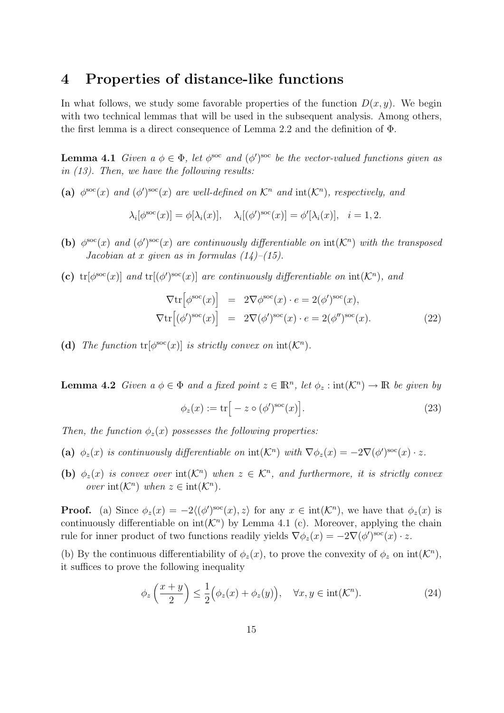### **4 Properties of distance-like functions**

In what follows, we study some favorable properties of the function  $D(x, y)$ . We begin with two technical lemmas that will be used in the subsequent analysis. Among others, the first lemma is a direct consequence of Lemma 2.2 and the definition of Φ.

**Lemma 4.1** *Given a*  $\phi \in \Phi$ *, let*  $\phi^{soc}$  *and*  $(\phi')^{soc}$  *be the vector-valued functions given as in (13). Then, we have the following results:*

### (a)  $\phi^{\text{soc}}(x)$  and  $(\phi')^{\text{soc}}(x)$  are well-defined on  $\mathcal{K}^n$  and  $\text{int}(\mathcal{K}^n)$ *, respectively, and*

$$
\lambda_i[\phi^{\rm soc}(x)] = \phi[\lambda_i(x)], \quad \lambda_i[(\phi')^{\rm soc}(x)] = \phi'[\lambda_i(x)], \quad i = 1, 2.
$$

- **(b)**  $\phi^{\text{soc}}(x)$  and  $(\phi')^{\text{soc}}(x)$  are continuously differentiable on  $\text{int}(\mathcal{K}^n)$  with the transposed *Jacobian at x given as in formulas (14)–(15).*
- (c)  $\text{tr}[\phi^{\text{soc}}(x)]$  *and*  $\text{tr}[(\phi')^{\text{soc}}(x)]$  *are continuously differentiable on*  $\text{int}(\mathcal{K}^n)$ *, and*

$$
\nabla \text{tr}\left[\phi^{\text{soc}}(x)\right] = 2\nabla \phi^{\text{soc}}(x) \cdot e = 2(\phi')^{\text{soc}}(x),
$$
  

$$
\nabla \text{tr}\left[(\phi')^{\text{soc}}(x)\right] = 2\nabla (\phi')^{\text{soc}}(x) \cdot e = 2(\phi'')^{\text{soc}}(x).
$$
 (22)

(d) The function  $tr[\phi^{\text{soc}}(x)]$  is strictly convex on  $int(K^n)$ .

**Lemma 4.2** *Given*  $a \phi \in \Phi$  *and*  $a$  *fixed point*  $z \in \mathbb{R}^n$ *, let*  $\phi_z : \text{int}(\mathcal{K}^n) \to \mathbb{R}$  *be given* by

$$
\phi_z(x) := \text{tr}\big[-z \circ (\phi')^{\text{soc}}(x)\big].\tag{23}
$$

*Then, the function*  $\phi_z(x)$  *possesses the following properties:* 

- (a)  $\phi_z(x)$  is continuously differentiable on  $\mathrm{int}(\mathcal{K}^n)$  with  $\nabla \phi_z(x) = -2\nabla(\phi')^{\mathrm{soc}}(x) \cdot z$ .
- **(b)**  $\phi_z(x)$  *is convex over*  $int(K^n)$  *when*  $z \in K^n$ *, and furthermore, it is strictly convex over*  $int(\mathcal{K}^n)$  *when*  $z \in int(\mathcal{K}^n)$ *.*

**Proof.** (a) Since  $\phi_z(x) = -2\langle (\phi')^{\text{soc}}(x), z \rangle$  for any  $x \in \text{int}(\mathcal{K}^n)$ , we have that  $\phi_z(x)$  is continuously differentiable on  $int(K<sup>n</sup>)$  by Lemma 4.1 (c). Moreover, applying the chain rule for inner product of two functions readily yields  $\nabla \phi_z(x) = -2\nabla (\phi')^{\text{soc}}(x) \cdot z$ .

(b) By the continuous differentiability of  $\phi_z(x)$ , to prove the convexity of  $\phi_z$  on  $int(\mathcal{K}^n)$ , it suffices to prove the following inequality

$$
\phi_z\left(\frac{x+y}{2}\right) \le \frac{1}{2} \left(\phi_z(x) + \phi_z(y)\right), \quad \forall x, y \in \text{int}(\mathcal{K}^n). \tag{24}
$$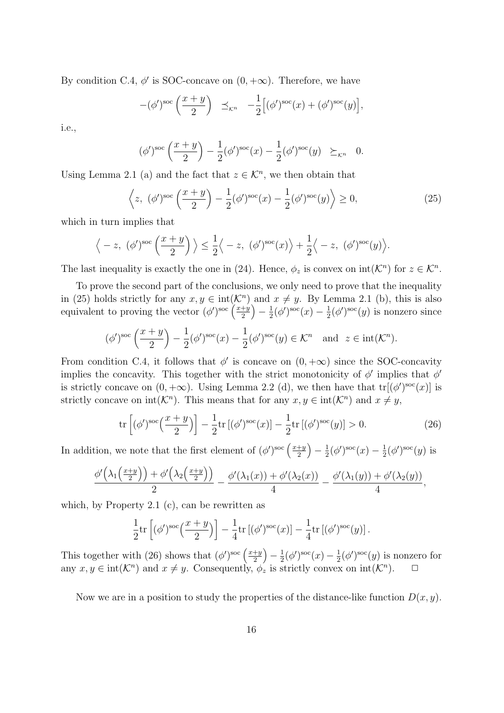By condition C.4,  $\phi'$  is SOC-concave on  $(0, +\infty)$ . Therefore, we have

$$
-(\phi')^{\text{soc}}\left(\frac{x+y}{2}\right) \preceq_{\mathcal{K}^n} -\frac{1}{2}\Big[(\phi')^{\text{soc}}(x) + (\phi')^{\text{soc}}(y)\Big],
$$

i.e.,

$$
(\phi')^{\text{soc}}\left(\frac{x+y}{2}\right) - \frac{1}{2}(\phi')^{\text{soc}}(x) - \frac{1}{2}(\phi')^{\text{soc}}(y) \geq_{\mathcal{K}^n} 0.
$$

Using Lemma 2.1 (a) and the fact that  $z \in \mathcal{K}^n$ , we then obtain that

$$
\left\langle z, \ (\phi')^{\text{soc}}\left(\frac{x+y}{2}\right) - \frac{1}{2}(\phi')^{\text{soc}}(x) - \frac{1}{2}(\phi')^{\text{soc}}(y) \right\rangle \ge 0,
$$
\n(25)

which in turn implies that

$$
\langle -z, (\phi')^{\text{soc}} \left( \frac{x+y}{2} \right) \rangle \leq \frac{1}{2} \langle -z, (\phi')^{\text{soc}}(x) \rangle + \frac{1}{2} \langle -z, (\phi')^{\text{soc}}(y) \rangle.
$$

The last inequality is exactly the one in (24). Hence,  $\phi_z$  is convex on  $int(\mathcal{K}^n)$  for  $z \in \mathcal{K}^n$ .

To prove the second part of the conclusions, we only need to prove that the inequality in (25) holds strictly for any  $x, y \in \text{int}(\mathcal{K}^n)$  and  $x \neq y$ . By Lemma 2.1 (b), this is also equivalent to proving the vector  $(\phi')^{\text{soc}}\left(\frac{x+y}{2}\right)$  $\frac{+y}{2}$ ) –  $\frac{1}{2}$  $\frac{1}{2}(\phi')^{\rm soc}(x) - \frac{1}{2}$  $\frac{1}{2}(\phi')^{\text{soc}}(y)$  is nonzero since

$$
(\phi')^{\text{soc}}\left(\frac{x+y}{2}\right) - \frac{1}{2}(\phi')^{\text{soc}}(x) - \frac{1}{2}(\phi')^{\text{soc}}(y) \in \mathcal{K}^n \quad \text{and} \quad z \in \text{int}(\mathcal{K}^n).
$$

From condition C.4, it follows that  $\phi'$  is concave on  $(0, +\infty)$  since the SOC-concavity implies the concavity. This together with the strict monotonicity of  $\phi'$  implies that  $\phi'$ is strictly concave on  $(0, +\infty)$ . Using Lemma 2.2 (d), we then have that  $tr[(\phi')^{soc}(x)]$  is strictly concave on  $int(\mathcal{K}^n)$ . This means that for any  $x, y \in int(\mathcal{K}^n)$  and  $x \neq y$ ,

$$
\operatorname{tr}\left[ (\phi')^{\mathrm{soc}}\left(\frac{x+y}{2}\right) \right] - \frac{1}{2} \operatorname{tr}\left[ (\phi')^{\mathrm{soc}}(x) \right] - \frac{1}{2} \operatorname{tr}\left[ (\phi')^{\mathrm{soc}}(y) \right] > 0. \tag{26}
$$

In addition, we note that the first element of  $(\phi')^{\text{soc}}\left(\frac{x+y}{2}\right)$  $\frac{+y}{2}$ ) –  $\frac{1}{2}$  $\frac{1}{2}(\phi')^{\rm soc}(x) - \frac{1}{2}$  $\frac{1}{2}(\phi')^{\rm soc}(y)$  is

$$
\frac{\phi'\left(\lambda_1\left(\frac{x+y}{2}\right)\right)+\phi'\left(\lambda_2\left(\frac{x+y}{2}\right)\right)}{2}-\frac{\phi'(\lambda_1(x))+\phi'(\lambda_2(x))}{4}-\frac{\phi'(\lambda_1(y))+\phi'(\lambda_2(y))}{4},
$$

which, by Property 2.1 (c), can be rewritten as

$$
\frac{1}{2}\mathrm{tr}\left[ (\phi')^{\mathrm{soc}}\left( \frac{x+y}{2} \right) \right] - \frac{1}{4}\mathrm{tr}\left[ (\phi')^{\mathrm{soc}}(x) \right] - \frac{1}{4}\mathrm{tr}\left[ (\phi')^{\mathrm{soc}}(y) \right].
$$

This together with (26) shows that  $(\phi')^{\text{soc}}$   $\left(\frac{x+y}{2}\right)$  $\frac{+y}{2}$ ) –  $\frac{1}{2}$  $\frac{1}{2}(\phi')^{\rm soc}(x) - \frac{1}{2}$  $\frac{1}{2}(\phi')^{\text{soc}}(y)$  is nonzero for any  $x, y \in \text{int}(\mathcal{K}^n)$  and  $x \neq y$ . Consequently,  $\phi_z$  is strictly convex on  $\text{int}(\mathcal{K}^n)$ .  $\Box$ 

Now we are in a position to study the properties of the distance-like function  $D(x, y)$ .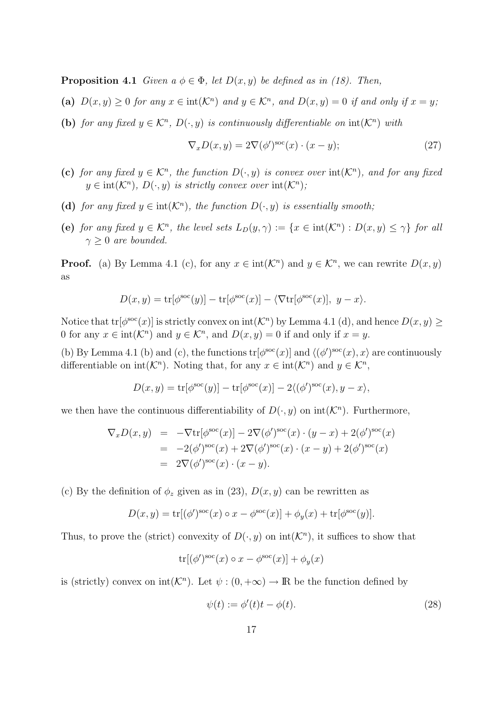**Proposition 4.1** *Given a*  $\phi \in \Phi$ *, let*  $D(x, y)$  *be defined as in (18). Then,* 

- (a)  $D(x, y) \ge 0$  for any  $x \in \text{int}(\mathcal{K}^n)$  and  $y \in \mathcal{K}^n$ , and  $D(x, y) = 0$  if and only if  $x = y$ .
- **(b)** *for any fixed*  $y \in \mathcal{K}^n$ ,  $D(\cdot, y)$  *is continuously differentiable on*  $int(\mathcal{K}^n)$  *with*

$$
\nabla_x D(x, y) = 2\nabla(\phi')^{\text{soc}}(x) \cdot (x - y); \tag{27}
$$

- **(c)** *for any fixed*  $y \in \mathcal{K}^n$ *, the function*  $D(\cdot, y)$  *is convex over*  $int(\mathcal{K}^n)$ *, and for any fixed*  $y \in \text{int}(\mathcal{K}^n)$ ,  $D(\cdot, y)$  *is strictly convex over*  $\text{int}(\mathcal{K}^n)$ ;
- (d) *for any fixed*  $y \in \text{int}(\mathcal{K}^n)$ *, the function*  $D(\cdot, y)$  *is essentially smooth;*
- (e) for any fixed  $y \in \mathcal{K}^n$ , the level sets  $L_D(y, \gamma) := \{x \in \text{int}(\mathcal{K}^n) : D(x, y) \leq \gamma\}$  for all  $\gamma \geq 0$  *are bounded.*

**Proof.** (a) By Lemma 4.1 (c), for any  $x \in \text{int}(\mathcal{K}^n)$  and  $y \in \mathcal{K}^n$ , we can rewrite  $D(x, y)$ as

$$
D(x,y) = \text{tr}[\phi^{\text{soc}}(y)] - \text{tr}[\phi^{\text{soc}}(x)] - \langle \nabla \text{tr}[\phi^{\text{soc}}(x)], y - x \rangle.
$$

Notice that  $tr[\phi^{\text{soc}}(x)]$  is strictly convex on  $int(\mathcal{K}^n)$  by Lemma 4.1 (d), and hence  $D(x, y) \ge$ 0 for any  $x \in \text{int}(\mathcal{K}^n)$  and  $y \in \mathcal{K}^n$ , and  $D(x, y) = 0$  if and only if  $x = y$ .

(b) By Lemma 4.1 (b) and (c), the functions  $tr[\phi^{\text{soc}}(x)]$  and  $\langle (\phi')^{\text{soc}}(x), x \rangle$  are continuously differentiable on  $int(K^n)$ . Noting that, for any  $x \in int(K^n)$  and  $y \in K^n$ ,

$$
D(x,y) = \text{tr}[\phi^{\text{soc}}(y)] - \text{tr}[\phi^{\text{soc}}(x)] - 2\langle (\phi')^{\text{soc}}(x), y - x \rangle,
$$

we then have the continuous differentiability of  $D(\cdot, y)$  on  $int(\mathcal{K}^n)$ . Furthermore,

$$
\nabla_x D(x, y) = -\nabla \text{tr}[\phi^{\text{soc}}(x)] - 2\nabla (\phi')^{\text{soc}}(x) \cdot (y - x) + 2(\phi')^{\text{soc}}(x)
$$
  
= -2( $\phi$ )<sup>sec</sup>(x) + 2\nabla (\phi')^{\text{soc}}(x) \cdot (x - y) + 2(\phi')^{\text{soc}}(x)  
= 2\nabla (\phi')^{\text{soc}}(x) \cdot (x - y).

(c) By the definition of  $\phi_z$  given as in (23),  $D(x, y)$  can be rewritten as

$$
D(x,y) = \text{tr}[(\phi')^{\text{soc}}(x) \circ x - \phi^{\text{soc}}(x)] + \phi_y(x) + \text{tr}[\phi^{\text{soc}}(y)].
$$

Thus, to prove the (strict) convexity of  $D(\cdot, y)$  on  $\text{int}(\mathcal{K}^n)$ , it suffices to show that

$$
\operatorname{tr}[(\phi')^{\mathrm{soc}}(x) \circ x - \phi^{\mathrm{soc}}(x)] + \phi_y(x)
$$

is (strictly) convex on  $int(K^n)$ . Let  $\psi$  :  $(0, +\infty) \to \mathbb{R}$  be the function defined by

$$
\psi(t) := \phi'(t)t - \phi(t). \tag{28}
$$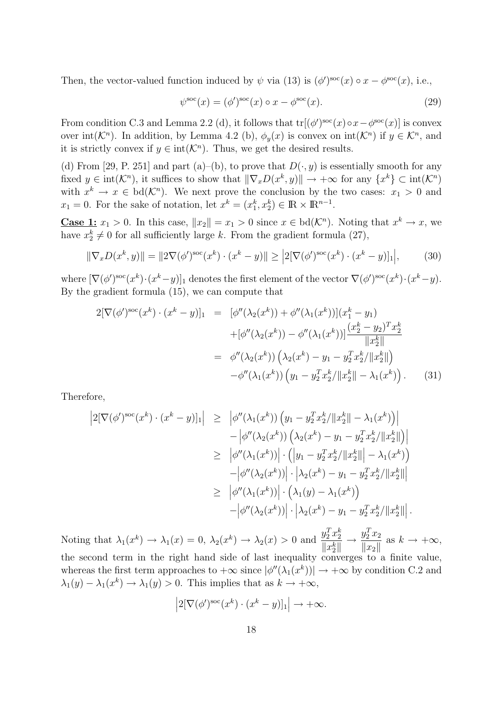Then, the vector-valued function induced by  $\psi$  via (13) is  $(\phi')^{\text{soc}}(x) \circ x - \phi^{\text{soc}}(x)$ , i.e.,

$$
\psi^{\text{soc}}(x) = (\phi')^{\text{soc}}(x) \circ x - \phi^{\text{soc}}(x). \tag{29}
$$

From condition C.3 and Lemma 2.2 (d), it follows that  $tr[(\phi')^{\text{soc}}(x) \circ x - \phi^{\text{soc}}(x)]$  is convex over  $int(\mathcal{K}^n)$ . In addition, by Lemma 4.2 (b),  $\phi_y(x)$  is convex on  $int(\mathcal{K}^n)$  if  $y \in \mathcal{K}^n$ , and it is strictly convex if  $y \in \text{int}(\mathcal{K}^n)$ . Thus, we get the desired results.

(d) From [29, P. 251] and part (a)–(b), to prove that  $D(\cdot, y)$  is essentially smooth for any fixed  $y \in \text{int}(\mathcal{K}^n)$ , it suffices to show that  $\|\nabla_x D(x^k, y)\| \to +\infty$  for any  $\{x^k\} \subset \text{int}(\mathcal{K}^n)$ with  $x^k \to x \in \text{bd}(\mathcal{K}^n)$ . We next prove the conclusion by the two cases:  $x_1 > 0$  and  $x_1 = 0$ . For the sake of notation, let  $x^k = (x_1^k, x_2^k) \in \mathbb{R} \times \mathbb{R}^{n-1}$ .

**Case 1:**  $x_1 > 0$ . In this case,  $||x_2|| = x_1 > 0$  since  $x \in bd(\mathcal{K}^n)$ . Noting that  $x^k \to x$ , we have  $x_2^k \neq 0$  for all sufficiently large *k*. From the gradient formula (27),

$$
\|\nabla_x D(x^k, y)\| = \|2\nabla(\phi')^{\text{soc}}(x^k) \cdot (x^k - y)\| \ge |2[\nabla(\phi')^{\text{soc}}(x^k) \cdot (x^k - y)]_1\Big|,\tag{30}
$$

where  $[\nabla(\phi')^{\text{soc}}(x^k)\cdot (x^k-y)]_1$  denotes the first element of the vector  $\nabla(\phi')^{\text{soc}}(x^k)\cdot (x^k-y)$ . By the gradient formula (15), we can compute that

$$
2[\nabla(\phi')^{\text{soc}}(x^k) \cdot (x^k - y)]_1 = [\phi''(\lambda_2(x^k)) + \phi''(\lambda_1(x^k))](x_1^k - y_1)
$$
  
 
$$
+[\phi''(\lambda_2(x^k)) - \phi''(\lambda_1(x^k))] \frac{(x_2^k - y_2)^T x_2^k}{\|x_2^k\|}
$$
  
 
$$
= \phi''(\lambda_2(x^k)) (\lambda_2(x^k) - y_1 - y_2^T x_2^k / \|x_2^k\|)
$$
  
 
$$
- \phi''(\lambda_1(x^k)) (y_1 - y_2^T x_2^k / \|x_2^k\| - \lambda_1(x^k)). \tag{31}
$$

Therefore,

$$
\begin{aligned}\n\left|2[\nabla(\phi')^{\text{soc}}(x^k)\cdot(x^k-y)]_1\right| &\geq \left|\phi''(\lambda_1(x^k))\left(y_1-y_2^Tx_2^k/\|x_2^k\| - \lambda_1(x^k)\right)\right| \\
&\quad - \left|\phi''(\lambda_2(x^k))\left(\lambda_2(x^k) - y_1 - y_2^Tx_2^k/\|x_2^k\|\right)\right| \\
&\geq \left|\phi''(\lambda_1(x^k))\right|\cdot\left(\left|y_1 - y_2^Tx_2^k/\|x_2^k\| - \lambda_1(x^k)\right)\right. \\
&\quad - \left|\phi''(\lambda_2(x^k))\right|\cdot\left|\lambda_2(x^k) - y_1 - y_2^Tx_2^k/\|x_2^k\|\right| \\
&\geq \left|\phi''(\lambda_1(x^k))\right|\cdot\left(\lambda_1(y) - \lambda_1(x^k)\right) \\
&\quad - \left|\phi''(\lambda_2(x^k))\right|\cdot\left|\lambda_2(x^k) - y_1 - y_2^Tx_2^k/\|x_2^k\|\right].\n\end{aligned}
$$

Noting that  $\lambda_1(x^k) \to \lambda_1(x) = 0$ ,  $\lambda_2(x^k) \to \lambda_2(x) > 0$  and  $\frac{y_2^T x_2^k}{\ln x^{k+1}}$  $||x_2^k||$ *→*  $y_2^T x_2$  $\|x_2\|$ as  $k \to +\infty$ , the second term in the right hand side of last inequality converges to a finite value, whereas the first term approaches to  $+\infty$  since  $|\phi''(\lambda_1(x^k))| \to +\infty$  by condition C.2 and  $\lambda_1(y) - \lambda_1(x^k) \to \lambda_1(y) > 0$ . This implies that as  $k \to +\infty$ ,

$$
\left|2[\nabla(\phi')^{\text{soc}}(x^k)\cdot(x^k-y)]_1\right| \to +\infty.
$$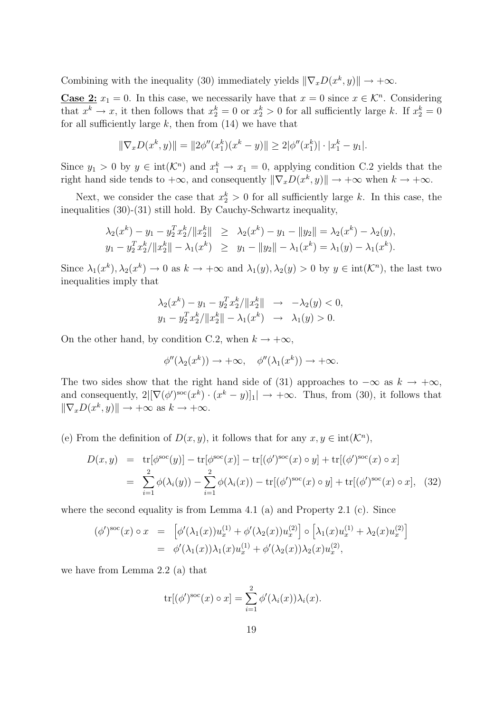Combining with the inequality (30) immediately yields  $\|\nabla_x D(x^k, y)\| \to +\infty$ .

**Case 2:**  $x_1 = 0$ . In this case, we necessarily have that  $x = 0$  since  $x \in \mathcal{K}^n$ . Considering that  $x^k \to x$ , it then follows that  $x_2^k = 0$  or  $x_2^k > 0$  for all sufficiently large *k*. If  $x_2^k = 0$ for all sufficiently large  $k$ , then from  $(14)$  we have that

$$
\|\nabla_x D(x^k, y)\| = \|2\phi''(x_1^k)(x^k - y)\| \ge 2|\phi''(x_1^k)| \cdot |x_1^k - y_1|.
$$

Since  $y_1 > 0$  by  $y \in \text{int}(\mathcal{K}^n)$  and  $x_1^k \to x_1 = 0$ , applying condition C.2 yields that the right hand side tends to  $+\infty$ , and consequently  $\|\nabla_x D(x^k, y)\| \to +\infty$  when  $k \to +\infty$ .

Next, we consider the case that  $x_2^k > 0$  for all sufficiently large k. In this case, the inequalities (30)-(31) still hold. By Cauchy-Schwartz inequality,

$$
\lambda_2(x^k) - y_1 - y_2^T x_2^k / \|x_2^k\| \ge \lambda_2(x^k) - y_1 - \|y_2\| = \lambda_2(x^k) - \lambda_2(y),
$$
  

$$
y_1 - y_2^T x_2^k / \|x_2^k\| - \lambda_1(x^k) \ge y_1 - \|y_2\| - \lambda_1(x^k) = \lambda_1(y) - \lambda_1(x^k).
$$

Since  $\lambda_1(x^k)$ ,  $\lambda_2(x^k) \to 0$  as  $k \to +\infty$  and  $\lambda_1(y)$ ,  $\lambda_2(y) > 0$  by  $y \in \text{int}(\mathcal{K}^n)$ , the last two inequalities imply that

$$
\lambda_2(x^k) - y_1 - y_2^T x_2^k / \|x_2^k\| \to -\lambda_2(y) < 0,
$$
  
\n
$$
y_1 - y_2^T x_2^k / \|x_2^k\| - \lambda_1(x^k) \to \lambda_1(y) > 0.
$$

On the other hand, by condition C.2, when  $k \to +\infty$ ,

$$
\phi''(\lambda_2(x^k)) \to +\infty, \quad \phi''(\lambda_1(x^k)) \to +\infty.
$$

The two sides show that the right hand side of (31) approaches to  $-\infty$  as  $k \to +\infty$ , and consequently,  $2\left[\nabla(\phi')^{\text{soc}}(x^k)\cdot(x^k-y)\right]_1\right| \to +\infty$ . Thus, from (30), it follows that  $\|\nabla_x D(x^k, y)\| \to +\infty \text{ as } k \to +\infty.$ 

(e) From the definition of  $D(x, y)$ , it follows that for any  $x, y \in \text{int}(\mathcal{K}^n)$ ,

$$
D(x, y) = tr[\phi^{\text{soc}}(y)] - tr[\phi^{\text{soc}}(x)] - tr[(\phi')^{\text{soc}}(x) \circ y] + tr[(\phi')^{\text{soc}}(x) \circ x]
$$
  
= 
$$
\sum_{i=1}^{2} \phi(\lambda_i(y)) - \sum_{i=1}^{2} \phi(\lambda_i(x)) - tr[(\phi')^{\text{soc}}(x) \circ y] + tr[(\phi')^{\text{soc}}(x) \circ x], \quad (32)
$$

where the second equality is from Lemma 4.1 (a) and Property 2.1 (c). Since

$$
(\phi')^{\text{soc}}(x) \circ x = \left[ \phi'(\lambda_1(x)) u_x^{(1)} + \phi'(\lambda_2(x)) u_x^{(2)} \right] \circ \left[ \lambda_1(x) u_x^{(1)} + \lambda_2(x) u_x^{(2)} \right]
$$
  
=  $\phi'(\lambda_1(x)) \lambda_1(x) u_x^{(1)} + \phi'(\lambda_2(x)) \lambda_2(x) u_x^{(2)},$ 

we have from Lemma 2.2 (a) that

$$
\text{tr}[(\phi')^{\text{soc}}(x) \circ x] = \sum_{i=1}^{2} \phi'(\lambda_i(x))\lambda_i(x).
$$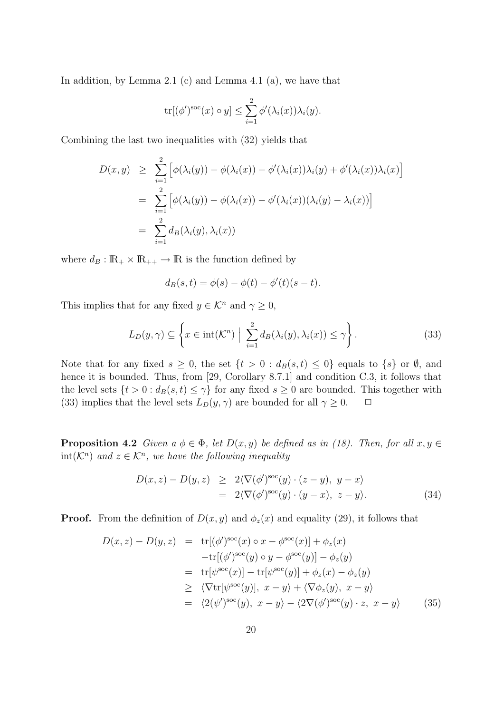In addition, by Lemma 2.1 (c) and Lemma 4.1 (a), we have that

$$
\mathrm{tr}[(\phi')^{\mathrm{soc}}(x) \circ y] \leq \sum_{i=1}^{2} \phi'(\lambda_i(x)) \lambda_i(y).
$$

Combining the last two inequalities with (32) yields that

$$
D(x,y) \geq \sum_{i=1}^{2} \left[ \phi(\lambda_i(y)) - \phi(\lambda_i(x)) - \phi'(\lambda_i(x))\lambda_i(y) + \phi'(\lambda_i(x))\lambda_i(x) \right]
$$
  
= 
$$
\sum_{i=1}^{2} \left[ \phi(\lambda_i(y)) - \phi(\lambda_i(x)) - \phi'(\lambda_i(x))(\lambda_i(y) - \lambda_i(x)) \right]
$$
  
= 
$$
\sum_{i=1}^{2} d_B(\lambda_i(y), \lambda_i(x))
$$

where  $d_B: \mathbb{R}_+ \times \mathbb{R}_{++} \to \mathbb{R}$  is the function defined by

$$
d_B(s, t) = \phi(s) - \phi(t) - \phi'(t)(s - t).
$$

This implies that for any fixed  $y \in \mathcal{K}^n$  and  $\gamma \geq 0$ ,

$$
L_D(y,\gamma) \subseteq \left\{ x \in \text{int}(\mathcal{K}^n) \; \Big| \; \sum_{i=1}^2 d_B(\lambda_i(y), \lambda_i(x)) \le \gamma \right\}.
$$
 (33)

Note that for any fixed  $s \geq 0$ , the set  $\{t > 0 : d_B(s,t) \leq 0\}$  equals to  $\{s\}$  or  $\emptyset$ , and hence it is bounded. Thus, from [29, Corollary 8.7.1] and condition C.3, it follows that the level sets  $\{t > 0 : d_B(s, t) \leq \gamma\}$  for any fixed  $s \geq 0$  are bounded. This together with (33) implies that the level sets  $L_D(y, \gamma)$  are bounded for all  $\gamma \geq 0$ .  $\Box$ 

**Proposition 4.2** *Given a*  $\phi \in \Phi$ *, let*  $D(x, y)$  *be defined as in (18). Then, for all*  $x, y \in$  $int(\mathcal{K}^n)$  and  $z \in \mathcal{K}^n$ , we have the following inequality

$$
D(x, z) - D(y, z) \geq 2\langle \nabla(\phi')^{\text{soc}}(y) \cdot (z - y), y - x \rangle
$$
  
=  $2\langle \nabla(\phi')^{\text{soc}}(y) \cdot (y - x), z - y \rangle.$  (34)

**Proof.** From the definition of  $D(x, y)$  and  $\phi_z(x)$  and equality (29), it follows that

$$
D(x, z) - D(y, z) = tr[(\phi')^{\text{soc}}(x) \circ x - \phi^{\text{soc}}(x)] + \phi_z(x)
$$
  
\n
$$
-tr[(\phi')^{\text{soc}}(y) \circ y - \phi^{\text{soc}}(y)] - \phi_z(y)
$$
  
\n
$$
= tr[\psi^{\text{soc}}(x)] - tr[\psi^{\text{soc}}(y)] + \phi_z(x) - \phi_z(y)
$$
  
\n
$$
\geq \langle \nabla tr[\psi^{\text{soc}}(y)], x - y \rangle + \langle \nabla \phi_z(y), x - y \rangle
$$
  
\n
$$
= \langle 2(\psi')^{\text{soc}}(y), x - y \rangle - \langle 2\nabla(\phi')^{\text{soc}}(y) \cdot z, x - y \rangle
$$
 (35)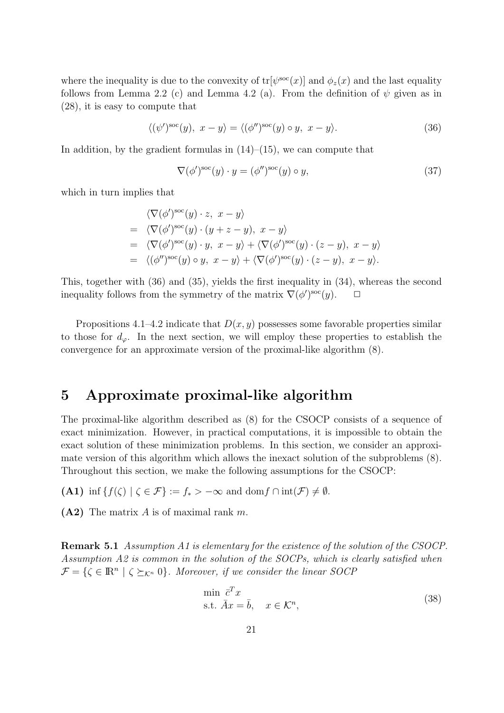where the inequality is due to the convexity of  $tr[\psi^{\text{soc}}(x)]$  and  $\phi_z(x)$  and the last equality follows from Lemma 2.2 (c) and Lemma 4.2 (a). From the definition of  $\psi$  given as in (28), it is easy to compute that

$$
\langle (\psi')^{\text{soc}}(y), \ x - y \rangle = \langle (\phi'')^{\text{soc}}(y) \circ y, \ x - y \rangle. \tag{36}
$$

In addition, by the gradient formulas in  $(14)$ – $(15)$ , we can compute that

$$
\nabla(\phi')^{\text{soc}}(y) \cdot y = (\phi'')^{\text{soc}}(y) \circ y,\tag{37}
$$

which in turn implies that

$$
\langle \nabla(\phi')^{\text{soc}}(y) \cdot z, \ x - y \rangle
$$
  
=\langle \nabla(\phi')^{\text{soc}}(y) \cdot (y + z - y), \ x - y \rangle  
=\langle \nabla(\phi')^{\text{soc}}(y) \cdot y, \ x - y \rangle + \langle \nabla(\phi')^{\text{soc}}(y) \cdot (z - y), \ x - y \rangle  
=\langle (\phi'')^{\text{soc}}(y) \circ y, \ x - y \rangle + \langle \nabla(\phi')^{\text{soc}}(y) \cdot (z - y), \ x - y \rangle.

This, together with (36) and (35), yields the first inequality in (34), whereas the second inequality follows from the symmetry of the matrix  $\nabla(\phi')^{\text{soc}}(y)$ .  $\Box$ 

Propositions  $4.1-4.2$  indicate that  $D(x, y)$  possesses some favorable properties similar to those for  $d_{\varphi}$ . In the next section, we will employ these properties to establish the convergence for an approximate version of the proximal-like algorithm (8).

### **5 Approximate proximal-like algorithm**

The proximal-like algorithm described as (8) for the CSOCP consists of a sequence of exact minimization. However, in practical computations, it is impossible to obtain the exact solution of these minimization problems. In this section, we consider an approximate version of this algorithm which allows the inexact solution of the subproblems (8). Throughout this section, we make the following assumptions for the CSOCP:

**(A1)** inf  $\{f(\zeta) \mid \zeta \in \mathcal{F}\} := f_* > -\infty$  and dom  $f \cap \text{int}(\mathcal{F}) \neq \emptyset$ .

**(A2)** The matrix *A* is of maximal rank *m*.

**Remark 5.1** *Assumption A1 is elementary for the existence of the solution of the CSOCP. Assumption A2 is common in the solution of the SOCPs, which is clearly satisfied when*  $\mathcal{F} = \{ \zeta \in \mathbb{R}^n \mid \zeta \succeq_{\mathcal{K}^n} 0 \}$ *. Moreover, if we consider the linear SOCP* 

$$
\min \overline{c}^T x \n\text{s.t. } \overline{A}x = \overline{b}, \quad x \in \mathcal{K}^n,
$$
\n(38)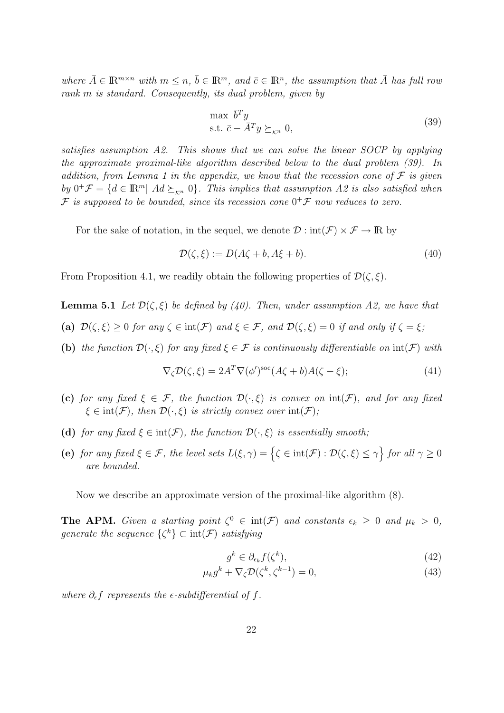where  $\bar{A} \in \mathbb{R}^{m \times n}$  with  $m \leq n, \bar{b} \in \mathbb{R}^m$ , and  $\bar{c} \in \mathbb{R}^n$ , the assumption that  $\bar{A}$  has full rou *rank m is standard. Consequently, its dual problem, given by*

$$
\max_{\bar{b} \in \bar{c}} \bar{b}^T y
$$
  
s.t.  $\bar{c} - \bar{A}^T y \succeq_{\kappa^n} 0,$  (39)

*satisfies assumption A2. This shows that we can solve the linear SOCP by applying the approximate proximal-like algorithm described below to the dual problem (39). In addition, from Lemma 1 in the appendix, we know that the recession cone of F is given by*  $0^+ \mathcal{F} = \{ d \in \mathbb{R}^m \mid Ad \succeq_{\mathcal{K}^n} 0 \}.$  This implies that assumption A2 is also satisfied when  $F$  is supposed to be bounded, since its recession cone  $0^+$  $F$  now reduces to zero.

For the sake of notation, in the sequel, we denote  $\mathcal{D}: \text{int}(\mathcal{F}) \times \mathcal{F} \to \mathbb{R}$  by

$$
\mathcal{D}(\zeta,\xi) := D(A\zeta + b, A\xi + b). \tag{40}
$$

From Proposition 4.1, we readily obtain the following properties of  $\mathcal{D}(\zeta,\xi)$ .

**Lemma 5.1** *Let*  $\mathcal{D}(\zeta,\xi)$  *be defined by (40). Then, under assumption A2, we have that* 

- **(a)**  $\mathcal{D}(\zeta,\xi) \geq 0$  *for any*  $\zeta \in \text{int}(\mathcal{F})$  *and*  $\xi \in \mathcal{F}$ *, and*  $\mathcal{D}(\zeta,\xi) = 0$  *if and only if*  $\zeta = \xi$ *;*
- **(b)** *the function*  $\mathcal{D}(\cdot,\xi)$  *for any fixed*  $\xi \in \mathcal{F}$  *is continuously differentiable on*  $\text{int}(\mathcal{F})$  *with*

$$
\nabla_{\zeta} \mathcal{D}(\zeta, \xi) = 2A^T \nabla(\phi')^{\text{soc}} (A\zeta + b) A(\zeta - \xi); \tag{41}
$$

- **(c)** *for any fixed*  $\xi \in \mathcal{F}$ *, the function*  $\mathcal{D}(\cdot,\xi)$  *is convex on*  $\text{int}(\mathcal{F})$ *, and for any fixed*  $\xi \in \text{int}(\mathcal{F})$ , then  $\mathcal{D}(\cdot,\xi)$  *is strictly convex over*  $\text{int}(\mathcal{F})$ *;*
- **(d)** *for any fixed*  $\xi \in \text{int}(\mathcal{F})$ *, the function*  $\mathcal{D}(\cdot,\xi)$  *is essentially smooth;*
- **(e)** *for any fixed*  $\xi \in \mathcal{F}$ *, the level sets*  $L(\xi, \gamma) = \left\{ \zeta \in \text{int}(\mathcal{F}) : \mathcal{D}(\zeta, \xi) \leq \gamma \right\}$  *for all*  $\gamma \geq 0$ *are bounded.*

Now we describe an approximate version of the proximal-like algorithm (8).

**The APM.** *Given a starting point*  $\zeta^0 \in \text{int}(\mathcal{F})$  *and constants*  $\epsilon_k \geq 0$  *and*  $\mu_k > 0$ , *generate the sequence*  $\{\zeta^k\} \subset \text{int}(\mathcal{F})$  *satisfying* 

$$
g^k \in \partial_{\epsilon_k} f(\zeta^k),\tag{42}
$$

$$
\mu_k g^k + \nabla_\zeta \mathcal{D}(\zeta^k, \zeta^{k-1}) = 0,\tag{43}
$$

*where*  $\partial_{\epsilon} f$  *represents the*  $\epsilon$ -*subdifferential of*  $f$ *.*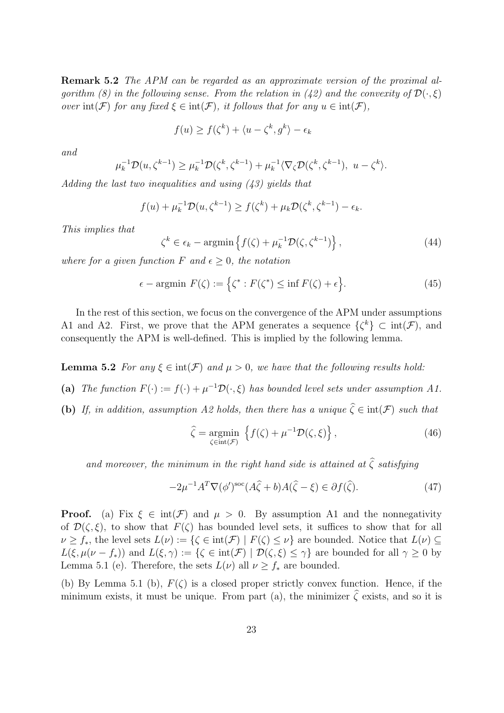**Remark 5.2** *The APM can be regarded as an approximate version of the proximal algorithm (8) in the following sense. From the relation in (42) and the convexity of*  $\mathcal{D}(\cdot,\xi)$ *over*  $\text{int}(\mathcal{F})$  *for any fixed*  $\xi \in \text{int}(\mathcal{F})$ *, it follows that for any*  $u \in \text{int}(\mathcal{F})$ *,* 

$$
f(u) \ge f(\zeta^k) + \langle u - \zeta^k, g^k \rangle - \epsilon_k
$$

*and*

$$
\mu_k^{-1} \mathcal{D}(u, \zeta^{k-1}) \ge \mu_k^{-1} \mathcal{D}(\zeta^k, \zeta^{k-1}) + \mu_k^{-1} \langle \nabla_{\zeta} \mathcal{D}(\zeta^k, \zeta^{k-1}), u - \zeta^k \rangle.
$$

*Adding the last two inequalities and using (43) yields that*

$$
f(u) + \mu_k^{-1} \mathcal{D}(u, \zeta^{k-1}) \ge f(\zeta^k) + \mu_k \mathcal{D}(\zeta^k, \zeta^{k-1}) - \epsilon_k.
$$

*This implies that*

$$
\zeta^{k} \in \epsilon_{k} - \operatorname{argmin} \left\{ f(\zeta) + \mu_{k}^{-1} \mathcal{D}(\zeta, \zeta^{k-1}) \right\},\tag{44}
$$

*where for a given function*  $F$  *and*  $\epsilon \geq 0$ *, the notation* 

$$
\epsilon - \operatorname{argmin} F(\zeta) := \left\{ \zeta^* : F(\zeta^*) \le \inf F(\zeta) + \epsilon \right\}.
$$
 (45)

In the rest of this section, we focus on the convergence of the APM under assumptions A1 and A2. First, we prove that the APM generates a sequence  $\{\zeta^k\} \subset \text{int}(\mathcal{F})$ , and consequently the APM is well-defined. This is implied by the following lemma.

**Lemma 5.2** *For any*  $\xi \in \text{int}(\mathcal{F})$  *and*  $\mu > 0$ *, we have that the following results hold:* 

- (a) *The function*  $F(\cdot) := f(\cdot) + \mu^{-1} \mathcal{D}(\cdot, \xi)$  *has bounded level sets under assumption A1.*
- **(b)** *If, in addition, assumption A2 holds, then there has a unique*  $\hat{\zeta} \in \text{int}(\mathcal{F})$  *such that*

$$
\hat{\zeta} = \underset{\zeta \in \text{int}(\mathcal{F})}{\text{argmin}} \left\{ f(\zeta) + \mu^{-1} \mathcal{D}(\zeta, \xi) \right\},\tag{46}
$$

*and moreover, the minimum in the right hand side is attained at*  $\hat{\zeta}$  *satisfying* 

$$
-2\mu^{-1}A^T \nabla(\phi')^{\text{soc}}(A\hat{\zeta} + b)A(\hat{\zeta} - \xi) \in \partial f(\hat{\zeta}).\tag{47}
$$

**Proof.** (a) Fix  $\xi \in \text{int}(\mathcal{F})$  and  $\mu > 0$ . By assumption A1 and the nonnegativity of  $\mathcal{D}(\zeta,\xi)$ , to show that  $F(\zeta)$  has bounded level sets, it suffices to show that for all  $\nu \geq f_*$ , the level sets  $L(\nu) := {\{\zeta \in \text{int}(\mathcal{F}) \mid F(\zeta) \leq \nu\}}$  are bounded. Notice that  $L(\nu) \subseteq$ *L*(*ξ*,  $\mu(\nu - f_*)$ ) and  $L(\xi, \gamma) := {\zeta \in int(\mathcal{F}) \mid \mathcal{D}(\zeta, \xi) \leq \gamma}$  are bounded for all  $\gamma \geq 0$  by Lemma 5.1 (e). Therefore, the sets  $L(\nu)$  all  $\nu \geq f_*$  are bounded.

(b) By Lemma 5.1 (b),  $F(\zeta)$  is a closed proper strictly convex function. Hence, if the minimum exists, it must be unique. From part (a), the minimizer  $\hat{\zeta}$  exists, and so it is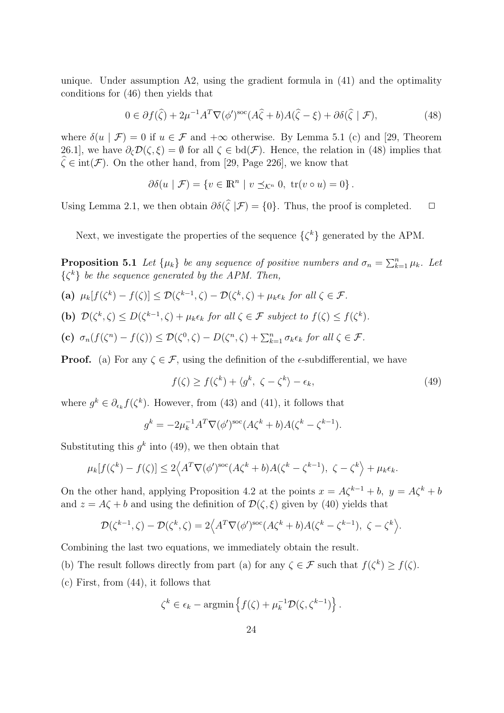unique. Under assumption  $A2$ , using the gradient formula in  $(41)$  and the optimality conditions for (46) then yields that

$$
0 \in \partial f(\hat{\zeta}) + 2\mu^{-1} A^T \nabla (\phi')^{\text{soc}} (A\hat{\zeta} + b) A(\hat{\zeta} - \xi) + \partial \delta(\hat{\zeta} \mid \mathcal{F}), \tag{48}
$$

where  $\delta(u | \mathcal{F}) = 0$  if  $u \in \mathcal{F}$  and  $+\infty$  otherwise. By Lemma 5.1 (c) and [29, Theorem 26.1], we have  $\partial_{\zeta} \mathcal{D}(\zeta, \xi) = \emptyset$  for all  $\zeta \in \text{bd}(\mathcal{F})$ . Hence, the relation in (48) implies that  $\hat{\zeta} \in \text{int}(\mathcal{F})$ . On the other hand, from [29, Page 226], we know that

$$
\partial \delta(u \mid \mathcal{F}) = \{ v \in \mathbb{R}^n \mid v \preceq_{\mathcal{K}^n} 0, \text{ tr}(v \circ u) = 0 \}.
$$

Using Lemma 2.1, we then obtain  $\partial \delta(\zeta | \mathcal{F}) = \{0\}$ . Thus, the proof is completed.  $\Box$ 

Next, we investigate the properties of the sequence  $\{\zeta^k\}$  generated by the APM.

**Proposition 5.1** *Let*  $\{\mu_k\}$  *be any sequence of positive numbers and*  $\sigma_n = \sum_{k=1}^n \mu_k$ *. Let {ζ <sup>k</sup>} be the sequence generated by the APM. Then,*

- (a)  $\mu_k[f(\zeta^k) f(\zeta)] \leq \mathcal{D}(\zeta^{k-1}, \zeta) \mathcal{D}(\zeta^k, \zeta) + \mu_k \epsilon_k \text{ for all } \zeta \in \mathcal{F}.$
- (b)  $\mathcal{D}(\zeta^k, \zeta) \le D(\zeta^{k-1}, \zeta) + \mu_k \epsilon_k$  for all  $\zeta \in \mathcal{F}$  subject to  $f(\zeta) \le f(\zeta^k)$ .
- (c)  $\sigma_n(f(\zeta^n) f(\zeta)) \leq \mathcal{D}(\zeta^0, \zeta) D(\zeta^n, \zeta) + \sum_{k=1}^n \sigma_k \epsilon_k$  for all  $\zeta \in \mathcal{F}$ .

**Proof.** (a) For any  $\zeta \in \mathcal{F}$ , using the definition of the  $\epsilon$ -subdifferential, we have

$$
f(\zeta) \ge f(\zeta^k) + \langle g^k, \zeta - \zeta^k \rangle - \epsilon_k,\tag{49}
$$

where  $g^k \in \partial_{\epsilon_k} f(\zeta^k)$ . However, from (43) and (41), it follows that

$$
g^k = -2\mu_k^{-1}A^T \nabla(\phi')^{\text{soc}} (A\zeta^k + b)A(\zeta^k - \zeta^{k-1}).
$$

Substituting this  $g^k$  into (49), we then obtain that

$$
\mu_k[f(\zeta^k) - f(\zeta)] \le 2\left\langle A^T \nabla(\phi')^{\rm soc}(A\zeta^k + b)A(\zeta^k - \zeta^{k-1}), \ \zeta - \zeta^k \right\rangle + \mu_k \epsilon_k.
$$

On the other hand, applying Proposition 4.2 at the points  $x = A\zeta^{k-1} + b$ ,  $y = A\zeta^k + b$ and  $z = A\zeta + b$  and using the definition of  $\mathcal{D}(\zeta, \xi)$  given by (40) yields that

$$
\mathcal{D}(\zeta^{k-1}, \zeta) - \mathcal{D}(\zeta^k, \zeta) = 2\Big\langle A^T \nabla(\phi')^{\text{soc}} (A\zeta^k + b) A(\zeta^k - \zeta^{k-1}), \ \zeta - \zeta^k \Big\rangle.
$$

Combining the last two equations, we immediately obtain the result.

(b) The result follows directly from part (a) for any  $\zeta \in \mathcal{F}$  such that  $f(\zeta^k) \geq f(\zeta)$ .

(c) First, from (44), it follows that

$$
\zeta^k \in \epsilon_k - \operatorname{argmin} \left\{ f(\zeta) + \mu_k^{-1} \mathcal{D}(\zeta, \zeta^{k-1}) \right\}.
$$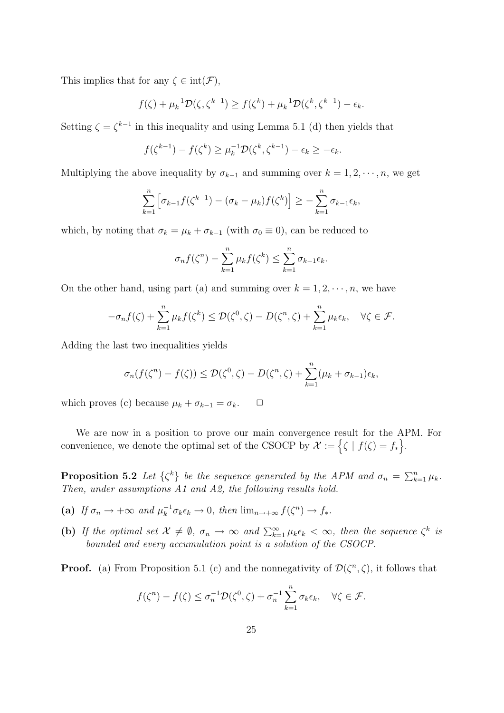This implies that for any  $\zeta \in \text{int}(\mathcal{F})$ ,

$$
f(\zeta) + \mu_k^{-1} \mathcal{D}(\zeta, \zeta^{k-1}) \ge f(\zeta^k) + \mu_k^{-1} \mathcal{D}(\zeta^k, \zeta^{k-1}) - \epsilon_k.
$$

Setting  $\zeta = \zeta^{k-1}$  in this inequality and using Lemma 5.1 (d) then yields that

$$
f(\zeta^{k-1}) - f(\zeta^k) \ge \mu_k^{-1} \mathcal{D}(\zeta^k, \zeta^{k-1}) - \epsilon_k \ge -\epsilon_k.
$$

Multiplying the above inequality by  $\sigma_{k-1}$  and summing over  $k = 1, 2, \dots, n$ , we get

$$
\sum_{k=1}^n \left[ \sigma_{k-1} f(\zeta^{k-1}) - (\sigma_k - \mu_k) f(\zeta^k) \right] \geq - \sum_{k=1}^n \sigma_{k-1} \epsilon_k,
$$

which, by noting that  $\sigma_k = \mu_k + \sigma_{k-1}$  (with  $\sigma_0 \equiv 0$ ), can be reduced to

$$
\sigma_n f(\zeta^n) - \sum_{k=1}^n \mu_k f(\zeta^k) \le \sum_{k=1}^n \sigma_{k-1} \epsilon_k.
$$

On the other hand, using part (a) and summing over  $k = 1, 2, \dots, n$ , we have

$$
-\sigma_n f(\zeta) + \sum_{k=1}^n \mu_k f(\zeta^k) \le \mathcal{D}(\zeta^0, \zeta) - D(\zeta^n, \zeta) + \sum_{k=1}^n \mu_k \epsilon_k, \quad \forall \zeta \in \mathcal{F}.
$$

Adding the last two inequalities yields

$$
\sigma_n(f(\zeta^n)-f(\zeta))\leq \mathcal{D}(\zeta^0,\zeta)-D(\zeta^n,\zeta)+\sum_{k=1}^n(\mu_k+\sigma_{k-1})\epsilon_k,
$$

which proves (c) because  $\mu_k + \sigma_{k-1} = \sigma_k$ .  $\Box$ 

We are now in a position to prove our main convergence result for the APM. For convenience, we denote the optimal set of the CSOCP by  $\mathcal{X} := \{\zeta \mid f(\zeta) = f_*\}.$ 

**Proposition 5.2** *Let*  $\{\zeta^k\}$  *be the sequence generated by the APM and*  $\sigma_n = \sum_{k=1}^n \mu_k$ *. Then, under assumptions A1 and A2, the following results hold.*

- (a) If  $\sigma_n \to +\infty$  and  $\mu_k^{-1} \sigma_k \epsilon_k \to 0$ , then  $\lim_{n \to +\infty} f(\zeta^n) \to f_*$ .
- (b) If the optimal set  $\mathcal{X} \neq \emptyset$ ,  $\sigma_n \to \infty$  and  $\sum_{k=1}^{\infty} \mu_k \epsilon_k < \infty$ , then the sequence  $\zeta^k$  is *bounded and every accumulation point is a solution of the CSOCP.*

**Proof.** (a) From Proposition 5.1 (c) and the nonnegativity of  $\mathcal{D}(\zeta^n, \zeta)$ , it follows that

$$
f(\zeta^n) - f(\zeta) \le \sigma_n^{-1} \mathcal{D}(\zeta^0, \zeta) + \sigma_n^{-1} \sum_{k=1}^n \sigma_k \epsilon_k, \quad \forall \zeta \in \mathcal{F}.
$$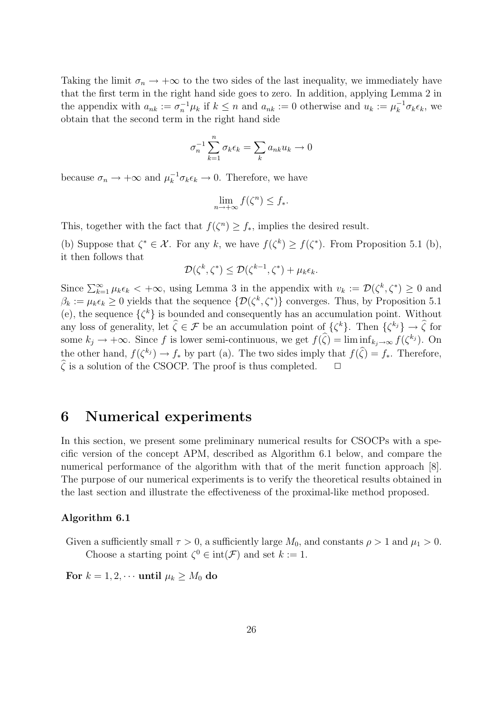Taking the limit  $\sigma_n \to +\infty$  to the two sides of the last inequality, we immediately have that the first term in the right hand side goes to zero. In addition, applying Lemma 2 in the appendix with  $a_{nk} := \sigma_n^{-1} \mu_k$  if  $k \leq n$  and  $a_{nk} := 0$  otherwise and  $u_k := \mu_k^{-1} \sigma_k \epsilon_k$ , we obtain that the second term in the right hand side

$$
\sigma_n^{-1} \sum_{k=1}^n \sigma_k \epsilon_k = \sum_k a_{nk} u_k \to 0
$$

because  $\sigma_n \to +\infty$  and  $\mu_k^{-1} \sigma_k \epsilon_k \to 0$ . Therefore, we have

$$
\lim_{n \to +\infty} f(\zeta^n) \le f_*.
$$

This, together with the fact that  $f(\zeta^n) \geq f_*$ , implies the desired result.

(b) Suppose that  $\zeta^* \in \mathcal{X}$ . For any k, we have  $f(\zeta^k) \geq f(\zeta^*)$ . From Proposition 5.1 (b), it then follows that

$$
\mathcal{D}(\zeta^k, \zeta^*) \le \mathcal{D}(\zeta^{k-1}, \zeta^*) + \mu_k \epsilon_k.
$$

Since  $\sum_{k=1}^{\infty} \mu_k \epsilon_k < +\infty$ , using Lemma 3 in the appendix with  $v_k := \mathcal{D}(\zeta^k, \zeta^*) \geq 0$  and  $\beta_k := \mu_k \epsilon_k \geq 0$  yields that the sequence  $\{\mathcal{D}(\zeta^k, \zeta^*)\}$  converges. Thus, by Proposition 5.1 (e), the sequence  $\{\zeta^k\}$  is bounded and consequently has an accumulation point. Without any loss of generality, let  $\hat{\zeta} \in \mathcal{F}$  be an accumulation point of  $\{\zeta^k\}$ . Then  $\{\zeta^{k_j}\} \to \hat{\zeta}$  for some  $k_j \to +\infty$ . Since *f* is lower semi-continuous, we get  $f(\widehat{\zeta}) = \liminf_{k_j \to \infty} f(\zeta^{k_j})$ . On the other hand,  $f(\zeta^{k_j}) \to f_*$  by part (a). The two sides imply that  $f(\hat{\zeta}) = f_*$ . Therefore,  $\hat{\zeta}$  is a solution of the CSOCP. The proof is thus completed.  $\Box$ 

#### **6 Numerical experiments**

In this section, we present some preliminary numerical results for CSOCPs with a specific version of the concept APM, described as Algorithm 6.1 below, and compare the numerical performance of the algorithm with that of the merit function approach [8]. The purpose of our numerical experiments is to verify the theoretical results obtained in the last section and illustrate the effectiveness of the proximal-like method proposed.

#### **Algorithm 6.1**

Given a sufficiently small  $\tau > 0$ , a sufficiently large  $M_0$ , and constants  $\rho > 1$  and  $\mu_1 > 0$ . Choose a starting point  $\zeta^0 \in \text{int}(\mathcal{F})$  and set  $k := 1$ .

For  $k = 1, 2, \cdots$  **until**  $\mu_k \geq M_0$  **do**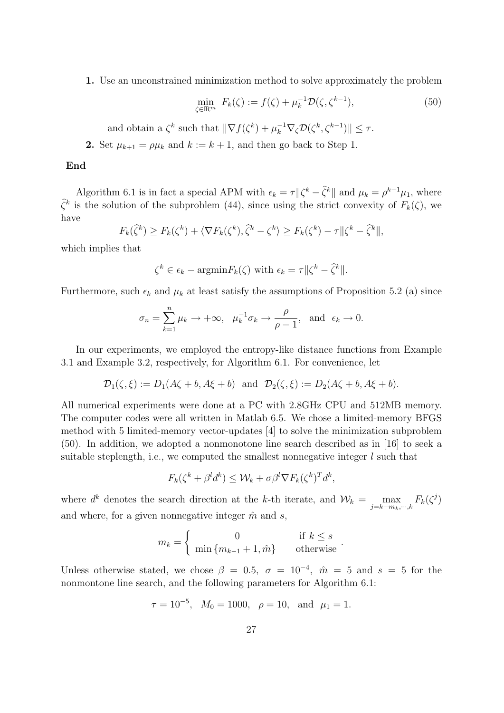**1.** Use an unconstrained minimization method to solve approximately the problem

$$
\min_{\zeta \in \mathbb{R}^m} F_k(\zeta) := f(\zeta) + \mu_k^{-1} \mathcal{D}(\zeta, \zeta^{k-1}),\tag{50}
$$

and obtain a  $\zeta^k$  such that  $\|\nabla f(\zeta^k) + \mu_k^{-1} \nabla_{\zeta} \mathcal{D}(\zeta^k, \zeta^{k-1})\| \leq \tau$ .

**2.** Set  $\mu_{k+1} = \rho \mu_k$  and  $k := k+1$ , and then go back to Step 1.

#### **End**

Algorithm 6.1 is in fact a special APM with  $\epsilon_k = \tau ||\zeta^k - \hat{\zeta}^k||$  and  $\mu_k = \rho^{k-1}\mu_1$ , where  $\hat{\zeta}^k$  is the solution of the subproblem (44), since using the strict convexity of  $F_k(\zeta)$ , we have

$$
F_k(\hat{\zeta}^k) \ge F_k(\zeta^k) + \langle \nabla F_k(\zeta^k), \hat{\zeta}^k - \zeta^k \rangle \ge F_k(\zeta^k) - \tau ||\zeta^k - \hat{\zeta}^k||,
$$

which implies that

$$
\zeta^k \in \epsilon_k - \operatorname{argmin} F_k(\zeta) \text{ with } \epsilon_k = \tau ||\zeta^k - \widehat{\zeta}^k||.
$$

Furthermore, such  $\epsilon_k$  and  $\mu_k$  at least satisfy the assumptions of Proposition 5.2 (a) since

$$
\sigma_n = \sum_{k=1}^n \mu_k \to +\infty
$$
,  $\mu_k^{-1} \sigma_k \to \frac{\rho}{\rho - 1}$ , and  $\epsilon_k \to 0$ .

In our experiments, we employed the entropy-like distance functions from Example 3.1 and Example 3.2, respectively, for Algorithm 6.1. For convenience, let

$$
\mathcal{D}_1(\zeta,\xi) := D_1(A\zeta+b, A\xi+b) \quad \text{and} \quad \mathcal{D}_2(\zeta,\xi) := D_2(A\zeta+b, A\xi+b).
$$

All numerical experiments were done at a PC with 2*.*8GHz CPU and 512MB memory. The computer codes were all written in Matlab 6.5. We chose a limited-memory BFGS method with 5 limited-memory vector-updates [4] to solve the minimization subproblem (50). In addition, we adopted a nonmonotone line search described as in [16] to seek a suitable steplength, i.e., we computed the smallest nonnegative integer *l* such that

$$
F_k(\zeta^k + \beta^l d^k) \le \mathcal{W}_k + \sigma \beta^l \nabla F_k(\zeta^k)^T d^k,
$$

where  $d^k$  denotes the search direction at the *k*-th iterate, and  $\mathcal{W}_k = \mathcal{W}_k$ *j*=*k−mk,···,k*  $F_k(\zeta^j)$ and where, for a given nonnegative integer  $\hat{m}$  and *s*.

$$
m_k = \begin{cases} 0 & \text{if } k \le s \\ \min \{m_{k-1} + 1, \hat{m}\} & \text{otherwise} \end{cases}.
$$

Unless otherwise stated, we chose  $\beta = 0.5$ ,  $\sigma = 10^{-4}$ ,  $\hat{m} = 5$  and  $s = 5$  for the nonmontone line search, and the following parameters for Algorithm 6.1:

$$
\tau = 10^{-5}
$$
,  $M_0 = 1000$ ,  $\rho = 10$ , and  $\mu_1 = 1$ .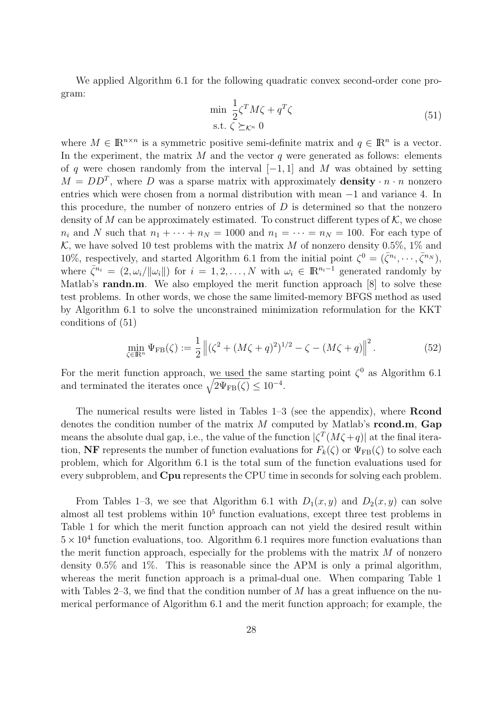We applied Algorithm 6.1 for the following quadratic convex second-order cone program:

$$
\min \frac{1}{2} \zeta^T M \zeta + q^T \zeta
$$
  
s.t.  $\zeta \succeq_{\mathcal{K}^n} 0$  (51)

where  $M \in \mathbb{R}^{n \times n}$  is a symmetric positive semi-definite matrix and  $q \in \mathbb{R}^n$  is a vector. In the experiment, the matrix *M* and the vector *q* were generated as follows: elements of *q* were chosen randomly from the interval [*−*1*,* 1] and *M* was obtained by setting  $M = DD^{T}$ , where *D* was a sparse matrix with approximately **density**  $\cdot n \cdot n$  nonzero entries which were chosen from a normal distribution with mean *−*1 and variance 4. In this procedure, the number of nonzero entries of *D* is determined so that the nonzero density of *M* can be approximately estimated. To construct different types of  $K$ , we chose  $n_i$  and *N* such that  $n_1 + \cdots + n_N = 1000$  and  $n_1 = \cdots = n_N = 100$ . For each type of  $K$ , we have solved 10 test problems with the matrix *M* of nonzero density 0.5%, 1% and 10%, respectively, and started Algorithm 6.1 from the initial point  $\zeta^0 = (\bar{\zeta}^{n_i}, \dots, \bar{\zeta}^{n_N})$ , where  $\bar{\zeta}^{n_i} = (2, \omega_i / ||\omega_i||)$  for  $i = 1, 2, ..., N$  with  $\omega_i \in \mathbb{R}^{n_i-1}$  generated randomly by Matlab's **randn.m**. We also employed the merit function approach [8] to solve these test problems. In other words, we chose the same limited-memory BFGS method as used by Algorithm 6.1 to solve the unconstrained minimization reformulation for the KKT conditions of (51)

$$
\min_{\zeta \in \mathbb{R}^n} \Psi_{\text{FB}}(\zeta) := \frac{1}{2} \left\| (\zeta^2 + (M\zeta + q)^2)^{1/2} - \zeta - (M\zeta + q) \right\|^2.
$$
 (52)

For the merit function approach, we used the same starting point  $\zeta^0$  as Algorithm 6.1 and terminated the iterates once  $\sqrt{2\Psi_{FB}(\zeta)} \leq 10^{-4}$ .

The numerical results were listed in Tables 1–3 (see the appendix), where **Rcond** denotes the condition number of the matrix *M* computed by Matlab's **rcond.m**, **Gap** means the absolute dual gap, i.e., the value of the function  $|\zeta^T(M\zeta+q)|$  at the final iteration, **NF** represents the number of function evaluations for  $F_k(\zeta)$  or  $\Psi_{FB}(\zeta)$  to solve each problem, which for Algorithm 6.1 is the total sum of the function evaluations used for every subproblem, and **Cpu** represents the CPU time in seconds for solving each problem.

From Tables 1–3, we see that Algorithm 6.1 with  $D_1(x, y)$  and  $D_2(x, y)$  can solve almost all test problems within  $10<sup>5</sup>$  function evaluations, except three test problems in Table 1 for which the merit function approach can not yield the desired result within  $5 \times 10^4$  function evaluations, too. Algorithm 6.1 requires more function evaluations than the merit function approach, especially for the problems with the matrix *M* of nonzero density 0*.*5% and 1%. This is reasonable since the APM is only a primal algorithm, whereas the merit function approach is a primal-dual one. When comparing Table 1 with Tables 2–3, we find that the condition number of *M* has a great influence on the numerical performance of Algorithm 6.1 and the merit function approach; for example, the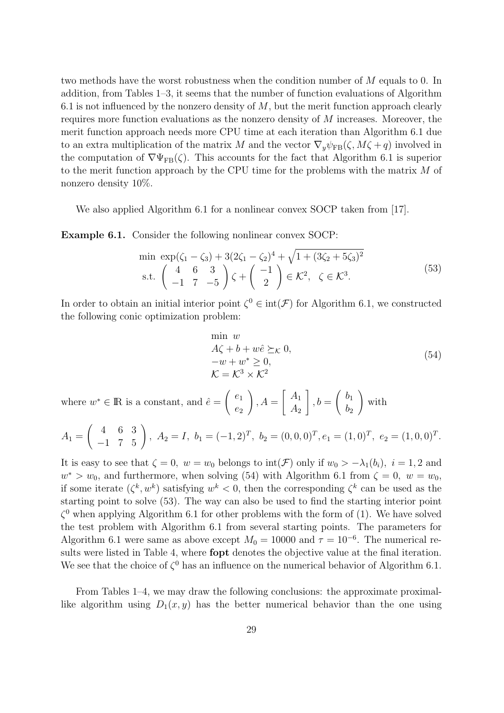two methods have the worst robustness when the condition number of *M* equals to 0. In addition, from Tables 1–3, it seems that the number of function evaluations of Algorithm 6.1 is not influenced by the nonzero density of *M*, but the merit function approach clearly requires more function evaluations as the nonzero density of *M* increases. Moreover, the merit function approach needs more CPU time at each iteration than Algorithm 6.1 due to an extra multiplication of the matrix *M* and the vector  $\nabla_y \psi_{FB}(\zeta, M\zeta + q)$  involved in the computation of  $\nabla \Psi_{FB}(\zeta)$ . This accounts for the fact that Algorithm 6.1 is superior to the merit function approach by the CPU time for the problems with the matrix *M* of nonzero density 10%.

We also applied Algorithm 6.1 for a nonlinear convex SOCP taken from [17].

**Example 6.1.** Consider the following nonlinear convex SOCP:

$$
\min \exp(\zeta_1 - \zeta_3) + 3(2\zeta_1 - \zeta_2)^4 + \sqrt{1 + (3\zeta_2 + 5\zeta_3)^2}
$$
\n
$$
\text{s.t.} \begin{pmatrix} 4 & 6 & 3 \\ -1 & 7 & -5 \end{pmatrix} \zeta + \begin{pmatrix} -1 \\ 2 \end{pmatrix} \in \mathcal{K}^2, \ \zeta \in \mathcal{K}^3. \tag{53}
$$

In order to obtain an initial interior point  $\zeta^0 \in \text{int}(\mathcal{F})$  for Algorithm 6.1, we constructed the following conic optimization problem:

$$
\min_{A\zeta + b + w\hat{e}} w
$$
  
\n
$$
A\zeta + b + w\hat{e} \succeq_{\mathcal{K}} 0,
$$
  
\n
$$
-w + w^* \ge 0,
$$
  
\n
$$
\mathcal{K} = \mathcal{K}^3 \times \mathcal{K}^2
$$
\n(54)

where  $w^* \in \mathbb{R}$  is a constant, and  $\hat{e} =$  $\left( \begin{array}{c} e_1 \end{array} \right)$ *e*2  $\setminus$  $A =$  $\left[ A_1 \right]$ *A*<sup>2</sup> 1  $, b =$  $\int b_1$  $b<sub>2</sub>$  $\setminus$ with

$$
A_1 = \begin{pmatrix} 4 & 6 & 3 \\ -1 & 7 & 5 \end{pmatrix}, A_2 = I, b_1 = (-1, 2)^T, b_2 = (0, 0, 0)^T, e_1 = (1, 0)^T, e_2 = (1, 0, 0)^T.
$$

It is easy to see that  $\zeta = 0$ ,  $w = w_0$  belongs to  $\text{int}(\mathcal{F})$  only if  $w_0 > -\lambda_1(b_i)$ ,  $i = 1, 2$  and  $w^*$  >  $w_0$ , and furthermore, when solving (54) with Algorithm 6.1 from  $\zeta = 0$ ,  $w = w_0$ , if some iterate  $(\zeta^k, w^k)$  satisfying  $w^k < 0$ , then the corresponding  $\zeta^k$  can be used as the starting point to solve (53). The way can also be used to find the starting interior point  $\zeta^0$  when applying Algorithm 6.1 for other problems with the form of (1). We have solved the test problem with Algorithm 6.1 from several starting points. The parameters for Algorithm 6.1 were same as above except  $M_0 = 10000$  and  $\tau = 10^{-6}$ . The numerical results were listed in Table 4, where **fopt** denotes the objective value at the final iteration. We see that the choice of  $\zeta^0$  has an influence on the numerical behavior of Algorithm 6.1.

From Tables 1–4, we may draw the following conclusions: the approximate proximallike algorithm using  $D_1(x, y)$  has the better numerical behavior than the one using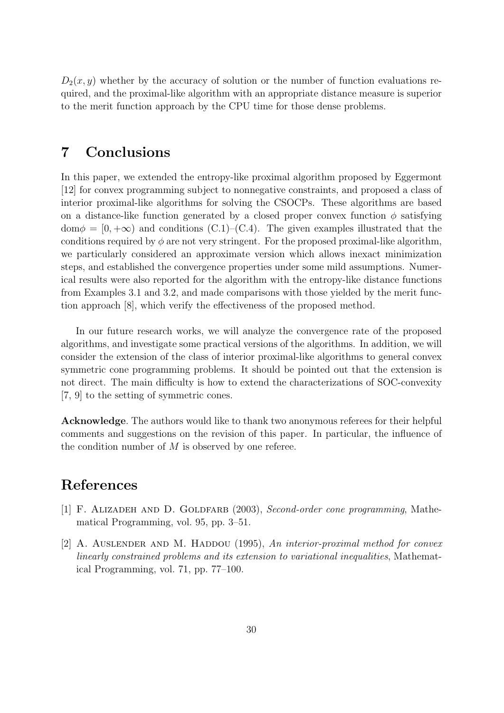$D_2(x, y)$  whether by the accuracy of solution or the number of function evaluations required, and the proximal-like algorithm with an appropriate distance measure is superior to the merit function approach by the CPU time for those dense problems.

## **7 Conclusions**

In this paper, we extended the entropy-like proximal algorithm proposed by Eggermont [12] for convex programming subject to nonnegative constraints, and proposed a class of interior proximal-like algorithms for solving the CSOCPs. These algorithms are based on a distance-like function generated by a closed proper convex function  $\phi$  satisfying  $dom\phi = [0, +\infty)$  and conditions (C.1)–(C.4). The given examples illustrated that the conditions required by  $\phi$  are not very stringent. For the proposed proximal-like algorithm, we particularly considered an approximate version which allows inexact minimization steps, and established the convergence properties under some mild assumptions. Numerical results were also reported for the algorithm with the entropy-like distance functions from Examples 3.1 and 3.2, and made comparisons with those yielded by the merit function approach [8], which verify the effectiveness of the proposed method.

In our future research works, we will analyze the convergence rate of the proposed algorithms, and investigate some practical versions of the algorithms. In addition, we will consider the extension of the class of interior proximal-like algorithms to general convex symmetric cone programming problems. It should be pointed out that the extension is not direct. The main difficulty is how to extend the characterizations of SOC-convexity [7, 9] to the setting of symmetric cones.

**Acknowledge**. The authors would like to thank two anonymous referees for their helpful comments and suggestions on the revision of this paper. In particular, the influence of the condition number of *M* is observed by one referee.

## **References**

- [1] F. ALIZADEH AND D. GOLDFARB (2003), *Second-order cone programming*, Mathematical Programming, vol. 95, pp. 3–51.
- [2] A. AUSLENDER AND M. HADDOU (1995), An interior-proximal method for convex *linearly constrained problems and its extension to variational inequalities*, Mathematical Programming, vol. 71, pp. 77–100.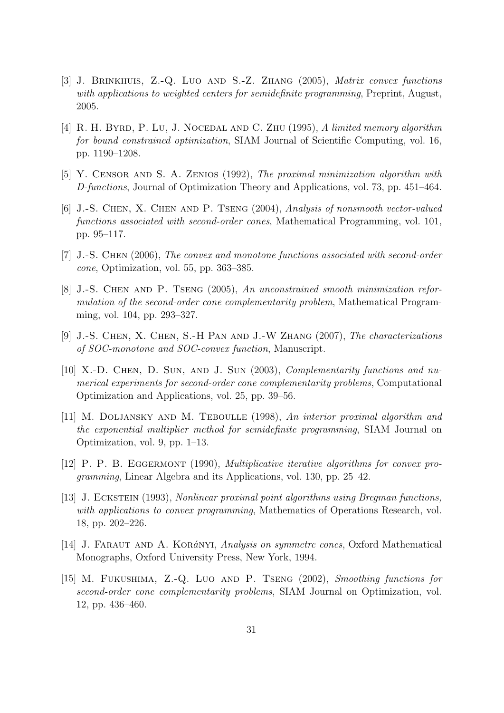- [3] J. Brinkhuis, Z.-Q. Luo and S.-Z. Zhang (2005), *Matrix convex functions with applications to weighted centers for semidefinite programming*, Preprint, August, 2005.
- [4] R. H. BYRD, P. LU, J. NOCEDAL AND C. ZHU (1995), *A limited memory algorithm for bound constrained optimization*, SIAM Journal of Scientific Computing, vol. 16, pp. 1190–1208.
- [5] Y. Censor and S. A. Zenios (1992), *The proximal minimization algorithm with D-functions*, Journal of Optimization Theory and Applications, vol. 73, pp. 451–464.
- [6] J.-S. Chen, X. Chen and P. Tseng (2004), *Analysis of nonsmooth vector-valued functions associated with second-order cones*, Mathematical Programming, vol. 101, pp. 95–117.
- [7] J.-S. Chen (2006), *The convex and monotone functions associated with second-order cone*, Optimization, vol. 55, pp. 363–385.
- [8] J.-S. Chen and P. Tseng (2005), *An unconstrained smooth minimization reformulation of the second-order cone complementarity problem*, Mathematical Programming, vol. 104, pp. 293–327.
- [9] J.-S. Chen, X. Chen, S.-H Pan and J.-W Zhang (2007), *The characterizations of SOC-monotone and SOC-convex function*, Manuscript.
- [10] X.-D. CHEN, D. SUN, AND J. SUN (2003), *Complementarity functions and numerical experiments for second-order cone complementarity problems*, Computational Optimization and Applications, vol. 25, pp. 39–56.
- [11] M. Doljansky and M. Teboulle (1998), *An interior proximal algorithm and the exponential multiplier method for semidefinite programming*, SIAM Journal on Optimization, vol. 9, pp. 1–13.
- [12] P. P. B. Eggermont (1990), *Multiplicative iterative algorithms for convex programming*, Linear Algebra and its Applications, vol. 130, pp. 25–42.
- [13] J. Eckstein (1993), *Nonlinear proximal point algorithms using Bregman functions, with applications to convex programming*, Mathematics of Operations Research, vol. 18, pp. 202–226.
- [14] J. Faraut and A. Kor*a*´nyi, *Analysis on symmetrc cones*, Oxford Mathematical Monographs, Oxford University Press, New York, 1994.
- [15] M. Fukushima, Z.-Q. Luo and P. Tseng (2002), *Smoothing functions for second-order cone complementarity problems*, SIAM Journal on Optimization, vol. 12, pp. 436–460.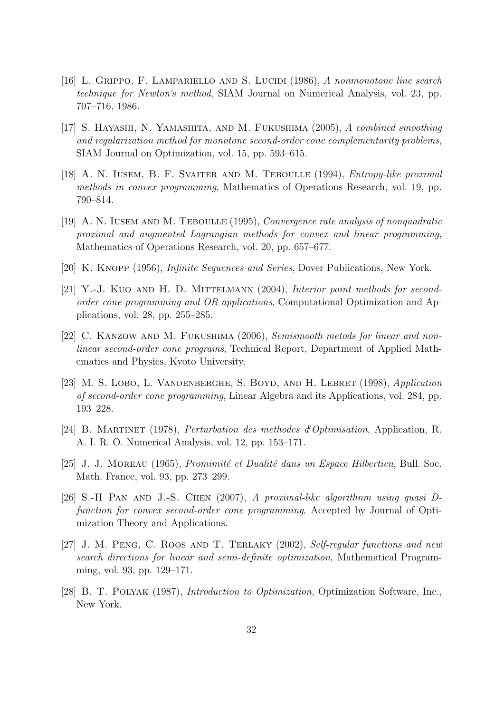- [16] L. Grippo, F. Lampariello and S. Lucidi (1986), *A nonmonotone line search technique for Newton's method*, SIAM Journal on Numerical Analysis, vol. 23, pp. 707–716, 1986.
- [17] S. Hayashi, N. Yamashita, and M. Fukushima (2005), *A combined smoothing and regularization method for monotone second-order cone complementarity problems*, SIAM Journal on Optimization, vol. 15, pp. 593–615.
- [18] A. N. Iusem, B. F. Svaiter and M. Teboulle (1994), *Entropy-like proximal methods in convex programming*, Mathematics of Operations Research, vol. 19, pp. 790–814.
- [19] A. N. Iusem and M. Teboulle (1995), *Convergence rate analysis of nonquadratic proximal and augmented Lagrangian methods for convex and linear programming*, Mathematics of Operations Research, vol. 20, pp. 657–677.
- [20] K. Knopp (1956), *Infinite Sequences and Series*, Dover Publications, New York.
- [21] Y.-J. Kuo and H. D. Mittelmann (2004), *Interior point methods for secondorder cone programming and OR applications*, Computational Optimization and Applications, vol. 28, pp. 255–285.
- [22] C. Kanzow and M. Fukushima (2006), *Semismooth metods for linear and nonlinear second-order cone programs*, Technical Report, Department of Applied Mathematics and Physics, Kyoto University.
- [23] M. S. Lobo, L. Vandenberghe, S. Boyd, and H. Lebret (1998), *Application of second-order cone programming*, Linear Algebra and its Applications, vol. 284, pp. 193–228.
- [24] B. Martinet (1978), *Perturbation des methodes d0Optimisation*, Application, R. A. I. R. O. Numerical Analysis, vol. 12, pp. 153–171.
- [25] J. J. MOREAU (1965), *Promimité et Dualité dans un Espace Hilbertien*, Bull. Soc. Math. France, vol. 93, pp. 273–299.
- [26] S.-H Pan and J.-S. Chen (2007), *A proximal-like algorithnm using quasi Dfunction for convex second-order cone programming*, Accepted by Journal of Optimization Theory and Applications.
- [27] J. M. Peng, C. Roos and T. Terlaky (2002), *Self-regular functions and new search directions for linear and semi-definite optimization*, Mathematical Programming, vol. 93, pp. 129–171.
- [28] B. T. Polyak (1987), *Introduction to Optimization*, Optimization Software, Inc., New York.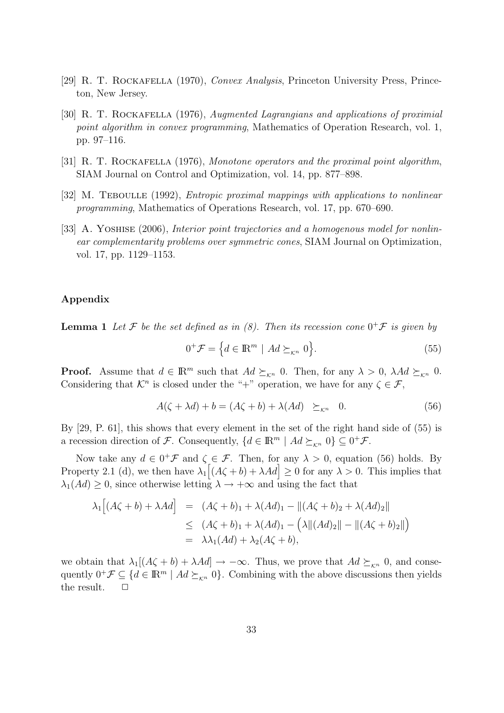- [29] R. T. Rockafella (1970), *Convex Analysis*, Princeton University Press, Princeton, New Jersey.
- [30] R. T. Rockafella (1976), *Augmented Lagrangians and applications of proximial point algorithm in convex programming*, Mathematics of Operation Research, vol. 1, pp. 97–116.
- [31] R. T. ROCKAFELLA (1976), *Monotone operators and the proximal point algorithm*, SIAM Journal on Control and Optimization, vol. 14, pp. 877–898.
- [32] M. Teboulle (1992), *Entropic proximal mappings with applications to nonlinear programming*, Mathematics of Operations Research, vol. 17, pp. 670–690.
- [33] A. Yoshise (2006), *Interior point trajectories and a homogenous model for nonlinear complementarity problems over symmetric cones*, SIAM Journal on Optimization, vol. 17, pp. 1129–1153.

#### **Appendix**

**Lemma 1** Let  $\mathcal F$  be the set defined as in (8). Then its recession cone  $0^+\mathcal F$  is given by

$$
0^+\mathcal{F} = \left\{ d \in \mathbb{R}^m \mid Ad \succeq_{\mathcal{K}^n} 0 \right\}.
$$
 (55)

**Proof.** Assume that  $d \in \mathbb{R}^m$  such that  $Ad \succeq_{\kappa^n} 0$ . Then, for any  $\lambda > 0$ ,  $\lambda Ad \succeq_{\kappa^n} 0$ . Considering that  $\mathcal{K}^n$  is closed under the "+" operation, we have for any  $\zeta \in \mathcal{F}$ ,

$$
A(\zeta + \lambda d) + b = (A\zeta + b) + \lambda (Ad) \geq_{\kappa^n} 0.
$$
 (56)

By [29, P. 61], this shows that every element in the set of the right hand side of (55) is a recession direction of *F*. Consequently,  $\{d \in \mathbb{R}^m \mid Ad \succeq_{\mathcal{K}^n} 0\} \subseteq 0^+\mathcal{F}$ .

Now take any  $d \in 0^+\mathcal{F}$  and  $\zeta \in \mathcal{F}$ . Then, for any  $\lambda > 0$ , equation (56) holds. By Property 2.1 (d), we then have  $\lambda_1[(A\zeta+b)+\lambda Ad] \geq 0$  for any  $\lambda > 0$ . This implies that  $\lambda_1(Ad) \geq 0$ , since otherwise letting  $\lambda \to +\infty$  and using the fact that

$$
\lambda_1 [(A\zeta + b) + \lambda Ad] = (A\zeta + b)_1 + \lambda (Ad)_1 - ||(A\zeta + b)_2 + \lambda (Ad)_2||
$$
  
\n
$$
\leq (A\zeta + b)_1 + \lambda (Ad)_1 - (\lambda ||(Ad)_2|| - ||(A\zeta + b)_2||)
$$
  
\n
$$
= \lambda \lambda_1 (Ad) + \lambda_2 (A\zeta + b),
$$

we obtain that  $\lambda_1[(A\zeta + b) + \lambda Ad] \rightarrow -\infty$ . Thus, we prove that  $Ad \succeq_{\kappa n} 0$ , and consequently  $0^+\mathcal{F} \subseteq \{d \in \mathbb{R}^m \mid Ad \succeq_{\mathcal{K}^n} 0\}$ . Combining with the above discussions then yields the result.  $\square$ the result.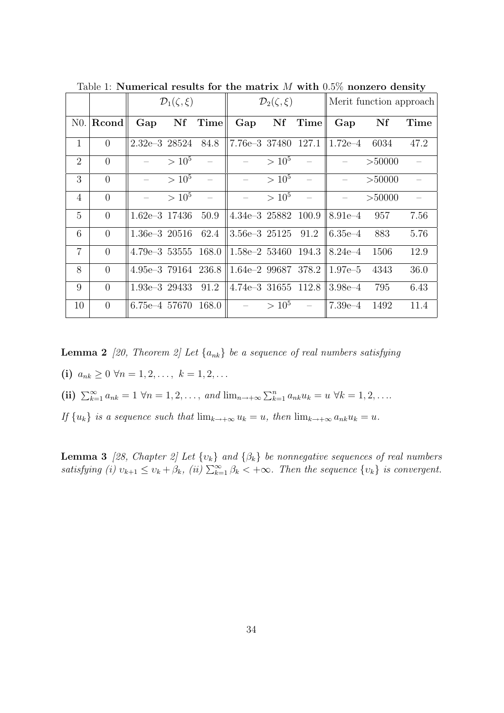|                |                | $\mathcal{D}_1(\zeta,\xi)$ |            |               | $\mathcal{D}_2(\zeta,\xi)$      |            |               | Merit function approach                 |        |      |
|----------------|----------------|----------------------------|------------|---------------|---------------------------------|------------|---------------|-----------------------------------------|--------|------|
| N0.            | Rcond          |                            |            | $Gap$ Nf Time |                                 |            | $Gap$ Nf Time | Gap Nf                                  |        | Time |
| $\mathbf{1}$   | $\overline{0}$ | $2.32e-3$ 28524 84.8       |            |               | 7.76e-3 37480 127.1             |            |               | $1.72e-4$ 6034                          |        | 47.2 |
| 2              | $\overline{0}$ |                            | $> 10^5$   |               |                                 | $> 10^5$   |               |                                         | >50000 |      |
| 3              | $\overline{0}$ |                            | $> 10^5$   |               | $\frac{1}{2}$                   | $> 10^5$   |               | $\equiv$                                | >50000 |      |
| $\overline{4}$ | $\theta$       |                            | $> 10^{5}$ | $\sim$ $-$    | $\frac{1}{2}$ and $\frac{1}{2}$ | $> 10^5$ - |               | $\equiv$                                | >50000 |      |
| 5              | $\theta$       | $1.62e-3$ 17436 50.9       |            |               | $4.34e-3$ 25882 100.9           |            |               | $8.91e-4$ 957                           |        | 7.56 |
| 6              | $\theta$       | $1.36e-3$ 20516 62.4       |            |               | $3.56e-3$ $25125$ $91.2$        |            |               | $6.35e-4$                               | 883    | 5.76 |
| $\overline{7}$ | $\theta$       | $4.79e-3$ 53555 168.0      |            |               |                                 |            |               | $1.58e-2$ 53460 194.3 8.24e-4           | 1506   | 12.9 |
| 8              | $\theta$       | $4.95e-3$ 79164 236.8      |            |               |                                 |            |               | 1.64e-2 99687 378.2 $\parallel$ 1.97e-5 | 4343   | 36.0 |
| 9              | $\theta$       | $1.93e-3$ 29433            |            | 91.2          |                                 |            |               | 4.74e-3 31655 112.8 $\parallel$ 3.98e-4 | 795    | 6.43 |
| 10             | $\overline{0}$ | 6.75e-4 57670 168.0        |            |               | $-$ > $10^5$                    |            | $\sim 100$    | $ 7.39e-4 \t1492$                       |        | 11.4 |

Table 1: **Numerical results for the matrix** *M* **with** 0*.*5% **nonzero density**

**Lemma 2** [20, Theorem 2] Let  $\{a_{nk}\}\$  be a sequence of real numbers satisfying

**(i)**  $a_{nk} \geq 0 \ \forall n = 1, 2, \ldots, \ k = 1, 2, \ldots$ 

(ii) 
$$
\sum_{k=1}^{\infty} a_{nk} = 1 \ \forall n = 1, 2, \ldots, \text{ and } \lim_{n \to +\infty} \sum_{k=1}^{n} a_{nk} u_k = u \ \forall k = 1, 2, \ldots
$$

If  $\{u_k\}$  is a sequence such that  $\lim_{k\to+\infty}u_k=u$ , then  $\lim_{k\to+\infty}a_{nk}u_k=u$ .

**Lemma 3** *[28, Chapter 2] Let {υk} and {βk} be nonnegative sequences of real numbers* satisfying (i)  $v_{k+1} \le v_k + \beta_k$ , (ii)  $\sum_{k=1}^{\infty} \beta_k < +\infty$ . Then the sequence  $\{v_k\}$  is convergent.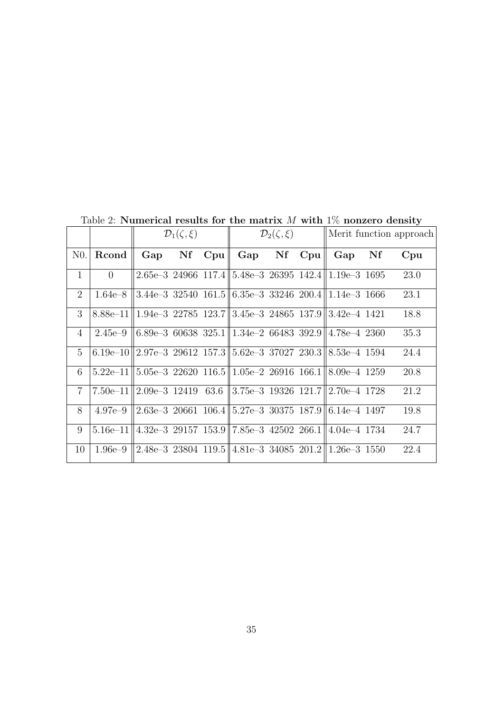|                |                                                                                 | $\mathcal{D}_1(\zeta,\xi)$ |  |            | $\mathcal{D}_2(\zeta,\xi)$                                                                |  |  | Merit function approach |    |      |
|----------------|---------------------------------------------------------------------------------|----------------------------|--|------------|-------------------------------------------------------------------------------------------|--|--|-------------------------|----|------|
| N0.            | Rcond                                                                           | Gap                        |  | $Nf$ $Cpu$ | Gap Nf Cpu                                                                                |  |  | Gap                     | Nf | Cpu  |
| $\mathbf{1}$   | $\overline{0}$                                                                  |                            |  |            | 2.65e-3 24966 117.4 $\mid$ 5.48e-3 26395 142.4 $\mid$ 1.19e-3 1695                        |  |  |                         |    | 23.0 |
| $\overline{2}$ | 1.64e–8                                                                         |                            |  |            | $3.44e-3$ 32540 161.5 6.35e-3 33246 200.4 1.14e-3 1666                                    |  |  |                         |    | 23.1 |
| 3              | $8.88e-11 \parallel 1.94e-3$ 22785 123.7 3.45e-3 24865 137.9 3.42e-4 1421       |                            |  |            |                                                                                           |  |  |                         |    | 18.8 |
| 4              | $2.45e-9$                                                                       |                            |  |            | $\parallel 6.89e-3\,60638\,325.1 \parallel 1.34e-2\,66483\,392.9 \parallel 4.78e-4\,2360$ |  |  |                         |    | 35.3 |
| $\frac{5}{2}$  | $6.19e-10$                                                                      |                            |  |            | $\parallel$ 2.97e–3 29612 157.3 $\parallel$ 5.62e–3 37027 230.3 $\parallel$ 8.53e–4 1594  |  |  |                         |    | 24.4 |
| 6              | $5.22e-11 \le 5.05e-3$ 22620 $116.5 \le 1.05e-2$ 26916 $166.1 \le 8.09e-4$ 1259 |                            |  |            |                                                                                           |  |  |                         |    | 20.8 |
| $\tau$         | 7.50e-11 $\ 2.09e-3\ 12419\ 63.6\ 3.75e-3\ 19326\ 121.7\ 2.70e-4\ 1728$         |                            |  |            |                                                                                           |  |  |                         |    | 21.2 |
| 8              | $4.97e-9$                                                                       |                            |  |            | $\mid$ 2.63e–3 20661 106.4 $\mid$ 5.27e–3 30375 187.9 $\mid$ 6.14e–4 1497                 |  |  |                         |    | 19.8 |
| 9              | $5.16e-111$                                                                     |                            |  |            | 4.32e–3 29157 153.9  7.85e–3 42502 266.1  4.04e–4 1734                                    |  |  |                         |    | 24.7 |
| 10             | 1.96e–9                                                                         |                            |  |            | $\ 2.48e-3\ 23804\ 119.5\ 4.81e-3\ 34085\ 201.2\ 1.26e-3\ 1550\ $                         |  |  |                         |    | 22.4 |

Table 2: **Numerical results for the matrix** *M* **with** 1% **nonzero density**